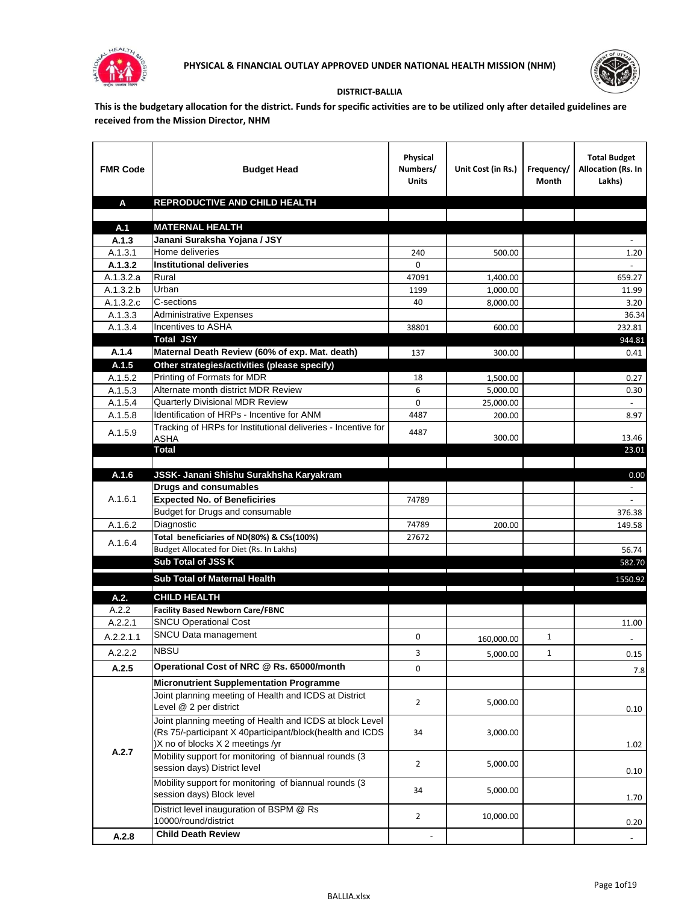



## **DISTRICT-BALLIA**

**This is the budgetary allocation for the district. Funds for specific activities are to be utilized only after detailed guidelines are received from the Mission Director, NHM**

| <b>FMR Code</b>    | <b>Budget Head</b>                                                                                                                                        | Physical<br>Numbers/<br><b>Units</b> | Unit Cost (in Rs.) | Frequency/<br>Month | <b>Total Budget</b><br><b>Allocation (Rs. In</b><br>Lakhs) |
|--------------------|-----------------------------------------------------------------------------------------------------------------------------------------------------------|--------------------------------------|--------------------|---------------------|------------------------------------------------------------|
| A                  | REPRODUCTIVE AND CHILD HEALTH                                                                                                                             |                                      |                    |                     |                                                            |
|                    |                                                                                                                                                           |                                      |                    |                     |                                                            |
| A.1                | <b>MATERNAL HEALTH</b>                                                                                                                                    |                                      |                    |                     |                                                            |
| A.1.3              | Janani Suraksha Yojana / JSY<br>Home deliveries                                                                                                           |                                      |                    |                     |                                                            |
| A.1.3.1<br>A.1.3.2 | <b>Institutional deliveries</b>                                                                                                                           | 240<br>0                             | 500.00             |                     | 1.20                                                       |
| A.1.3.2.a          | Rural                                                                                                                                                     | 47091                                | 1,400.00           |                     | 659.27                                                     |
| A.1.3.2.b          | Urban                                                                                                                                                     | 1199                                 | 1,000.00           |                     | 11.99                                                      |
| A.1.3.2.c          | C-sections                                                                                                                                                | 40                                   | 8,000.00           |                     | 3.20                                                       |
| A.1.3.3            | <b>Administrative Expenses</b>                                                                                                                            |                                      |                    |                     | 36.34                                                      |
| A.1.3.4            | Incentives to ASHA                                                                                                                                        | 38801                                | 600.00             |                     | 232.81                                                     |
|                    | <b>Total JSY</b>                                                                                                                                          |                                      |                    |                     | 944.81                                                     |
| A.1.4              | Maternal Death Review (60% of exp. Mat. death)                                                                                                            | 137                                  | 300.00             |                     | 0.41                                                       |
| A.1.5              | Other strategies/activities (please specify)                                                                                                              |                                      |                    |                     |                                                            |
| A.1.5.2            | Printing of Formats for MDR                                                                                                                               | 18                                   | 1,500.00           |                     | 0.27                                                       |
| A.1.5.3            | Alternate month district MDR Review                                                                                                                       | 6                                    | 5,000.00           |                     | 0.30                                                       |
| A.1.5.4            | <b>Quarterly Divisional MDR Review</b>                                                                                                                    | 0                                    | 25,000.00          |                     |                                                            |
| A.1.5.8            | Identification of HRPs - Incentive for ANM                                                                                                                | 4487                                 | 200.00             |                     | 8.97                                                       |
| A.1.5.9            | Tracking of HRPs for Institutional deliveries - Incentive for<br>ASHA                                                                                     | 4487                                 | 300.00             |                     | 13.46                                                      |
|                    | <b>Total</b>                                                                                                                                              |                                      |                    |                     | 23.01                                                      |
|                    |                                                                                                                                                           |                                      |                    |                     |                                                            |
| A.1.6              | JSSK- Janani Shishu Surakhsha Karyakram                                                                                                                   |                                      |                    |                     | 0.00                                                       |
|                    | <b>Drugs and consumables</b>                                                                                                                              |                                      |                    |                     |                                                            |
| A.1.6.1            | <b>Expected No. of Beneficiries</b>                                                                                                                       | 74789                                |                    |                     |                                                            |
|                    | Budget for Drugs and consumable                                                                                                                           |                                      |                    |                     | 376.38                                                     |
| A.1.6.2            | Diagnostic                                                                                                                                                | 74789                                | 200.00             |                     | 149.58                                                     |
| A.1.6.4            | Total beneficiaries of ND(80%) & CSs(100%)                                                                                                                | 27672                                |                    |                     |                                                            |
|                    | Budget Allocated for Diet (Rs. In Lakhs)                                                                                                                  |                                      |                    |                     | 56.74                                                      |
|                    | Sub Total of JSS K                                                                                                                                        |                                      |                    |                     | 582.70                                                     |
|                    | Sub Total of Maternal Health                                                                                                                              |                                      |                    |                     | 1550.92                                                    |
| A.2.               | <b>CHILD HEALTH</b>                                                                                                                                       |                                      |                    |                     |                                                            |
| A.2.2              | <b>Facility Based Newborn Care/FBNC</b>                                                                                                                   |                                      |                    |                     |                                                            |
| A.2.2.1            | <b>SNCU Operational Cost</b>                                                                                                                              |                                      |                    |                     | 11.00                                                      |
| A.2.2.1.1          | SNCU Data management                                                                                                                                      | 0                                    | 160,000.00         | $\mathbf{1}$        |                                                            |
| A.2.2.2            | <b>NBSU</b>                                                                                                                                               | 3                                    | 5,000.00           | 1                   | 0.15                                                       |
| A.2.5              | Operational Cost of NRC @ Rs. 65000/month                                                                                                                 | $\mathbf 0$                          |                    |                     | $7.8$                                                      |
|                    | <b>Micronutrient Supplementation Programme</b>                                                                                                            |                                      |                    |                     |                                                            |
|                    | Joint planning meeting of Health and ICDS at District<br>Level @ 2 per district                                                                           | $\overline{2}$                       | 5,000.00           |                     | 0.10                                                       |
|                    | Joint planning meeting of Health and ICDS at block Level<br>(Rs 75/-participant X 40participant/block(health and ICDS<br>)X no of blocks X 2 meetings /yr | 34                                   | 3,000.00           |                     | 1.02                                                       |
| A.2.7              | Mobility support for monitoring of biannual rounds (3<br>session days) District level                                                                     | $\overline{2}$                       | 5,000.00           |                     | 0.10                                                       |
|                    | Mobility support for monitoring of biannual rounds (3<br>session days) Block level                                                                        | 34                                   | 5,000.00           |                     | 1.70                                                       |
|                    | District level inauguration of BSPM @ Rs<br>10000/round/district                                                                                          | $\overline{2}$                       | 10,000.00          |                     | 0.20                                                       |
| A.2.8              | <b>Child Death Review</b>                                                                                                                                 |                                      |                    |                     | $\sim$                                                     |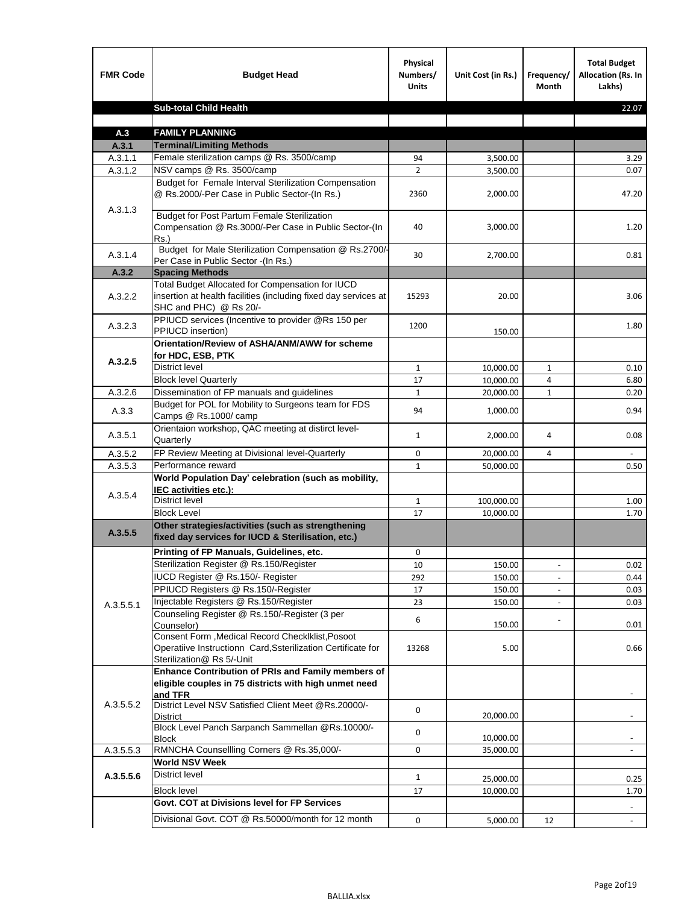| <b>FMR Code</b> | <b>Budget Head</b>                                                                                                                            | Physical<br>Numbers/<br><b>Units</b> | Unit Cost (in Rs.) | Frequency/<br><b>Month</b> | <b>Total Budget</b><br>Allocation (Rs. In<br>Lakhs) |
|-----------------|-----------------------------------------------------------------------------------------------------------------------------------------------|--------------------------------------|--------------------|----------------------------|-----------------------------------------------------|
|                 | <b>Sub-total Child Health</b>                                                                                                                 |                                      |                    |                            | 22.07                                               |
|                 |                                                                                                                                               |                                      |                    |                            |                                                     |
| A.3             | <b>FAMILY PLANNING</b>                                                                                                                        |                                      |                    |                            |                                                     |
| A.3.1           | <b>Terminal/Limiting Methods</b>                                                                                                              |                                      |                    |                            |                                                     |
| A.3.1.1         | Female sterilization camps @ Rs. 3500/camp                                                                                                    | 94                                   | 3,500.00           |                            | 3.29                                                |
| A.3.1.2         | NSV camps @ Rs. 3500/camp<br>Budget for Female Interval Sterilization Compensation                                                            | $\overline{2}$                       | 3,500.00           |                            | 0.07                                                |
| A.3.1.3         | @ Rs.2000/-Per Case in Public Sector-(In Rs.)                                                                                                 | 2360                                 | 2,000.00           |                            | 47.20                                               |
|                 | <b>Budget for Post Partum Female Sterilization</b><br>Compensation @ Rs.3000/-Per Case in Public Sector-(In<br>$Rs.$ )                        | 40                                   | 3,000.00           |                            | 1.20                                                |
| A.3.1.4         | Budget for Male Sterilization Compensation @ Rs.2700/-<br>Per Case in Public Sector -(In Rs.)                                                 | 30                                   | 2,700.00           |                            | 0.81                                                |
| A.3.2           | <b>Spacing Methods</b>                                                                                                                        |                                      |                    |                            |                                                     |
| A.3.2.2         | Total Budget Allocated for Compensation for IUCD<br>insertion at health facilities (including fixed day services at<br>SHC and PHC) @ Rs 20/- | 15293                                | 20.00              |                            | 3.06                                                |
| A.3.2.3         | PPIUCD services (Incentive to provider @Rs 150 per<br>PPIUCD insertion)                                                                       | 1200                                 | 150.00             |                            | 1.80                                                |
| A.3.2.5         | Orientation/Review of ASHA/ANM/AWW for scheme<br>for HDC, ESB, PTK                                                                            |                                      |                    |                            |                                                     |
|                 | <b>District level</b>                                                                                                                         | $\mathbf{1}$                         | 10,000.00          | $\mathbf{1}$               | 0.10                                                |
|                 | <b>Block level Quarterly</b>                                                                                                                  | 17                                   | 10,000.00          | 4                          | 6.80                                                |
| A.3.2.6         | Dissemination of FP manuals and guidelines                                                                                                    | $\mathbf{1}$                         | 20,000.00          | $\mathbf{1}$               | 0.20                                                |
| A.3.3           | Budget for POL for Mobility to Surgeons team for FDS<br>Camps @ Rs.1000/ camp                                                                 | 94                                   | 1,000.00           |                            | 0.94                                                |
| A.3.5.1         | Orientaion workshop, QAC meeting at distirct level-<br>Quarterly                                                                              | $\mathbf{1}$                         | 2,000.00           | 4                          | 0.08                                                |
| A.3.5.2         | FP Review Meeting at Divisional level-Quarterly                                                                                               | 0                                    | 20,000.00          | 4                          |                                                     |
| A.3.5.3         | Performance reward                                                                                                                            | $\mathbf{1}$                         | 50,000.00          |                            | 0.50                                                |
| A.3.5.4         | World Population Day' celebration (such as mobility,<br>IEC activities etc.):                                                                 |                                      |                    |                            |                                                     |
|                 | District level                                                                                                                                | $\mathbf{1}$                         | 100,000.00         |                            | 1.00                                                |
|                 | <b>Block Level</b>                                                                                                                            | 17                                   | 10.000.00          |                            | 1.70                                                |
| A.3.5.5         | Other strategies/activities (such as strengthening<br>fixed day services for IUCD & Sterilisation, etc.)                                      |                                      |                    |                            |                                                     |
|                 | Printing of FP Manuals, Guidelines, etc.                                                                                                      | 0                                    |                    |                            |                                                     |
|                 | Sterilization Register @ Rs.150/Register                                                                                                      | 10                                   | 150.00             |                            | 0.02                                                |
|                 | IUCD Register @ Rs.150/- Register                                                                                                             | 292                                  | 150.00             |                            | 0.44                                                |
|                 | PPIUCD Registers @ Rs.150/-Register                                                                                                           | 17                                   | 150.00             |                            | 0.03                                                |
| A.3.5.5.1       | Injectable Registers @ Rs.150/Register                                                                                                        | 23                                   | 150.00             |                            | 0.03                                                |
|                 | Counseling Register @ Rs.150/-Register (3 per<br>Counselor)<br>Consent Form , Medical Record CheckIklist, Posoot                              | 6                                    | 150.00             |                            | 0.01                                                |
|                 | Operatiive Instructionn Card, Ssterilization Certificate for<br>Sterilization@ Rs 5/-Unit                                                     | 13268                                | 5.00               |                            | 0.66                                                |
|                 | Enhance Contribution of PRIs and Family members of<br>eligible couples in 75 districts with high unmet need<br>and TFR                        |                                      |                    |                            |                                                     |
| A.3.5.5.2       | District Level NSV Satisfied Client Meet @Rs.20000/-<br>District                                                                              | 0                                    | 20,000.00          |                            |                                                     |
|                 | Block Level Panch Sarpanch Sammellan @Rs.10000/-<br><b>Block</b>                                                                              | 0                                    | 10,000.00          |                            |                                                     |
| A.3.5.5.3       | RMNCHA Counsellling Corners @ Rs.35,000/-                                                                                                     | 0                                    | 35,000.00          |                            |                                                     |
|                 | <b>World NSV Week</b>                                                                                                                         |                                      |                    |                            |                                                     |
| A.3.5.5.6       | <b>District level</b>                                                                                                                         | $\mathbf{1}$                         | 25,000.00          |                            | 0.25                                                |
|                 | <b>Block level</b>                                                                                                                            | 17                                   | 10,000.00          |                            | 1.70                                                |
|                 | Govt. COT at Divisions level for FP Services                                                                                                  |                                      |                    |                            |                                                     |
|                 | Divisional Govt. COT @ Rs.50000/month for 12 month                                                                                            | $\mathsf{O}\xspace$                  | 5,000.00           | 12                         |                                                     |
|                 |                                                                                                                                               |                                      |                    |                            |                                                     |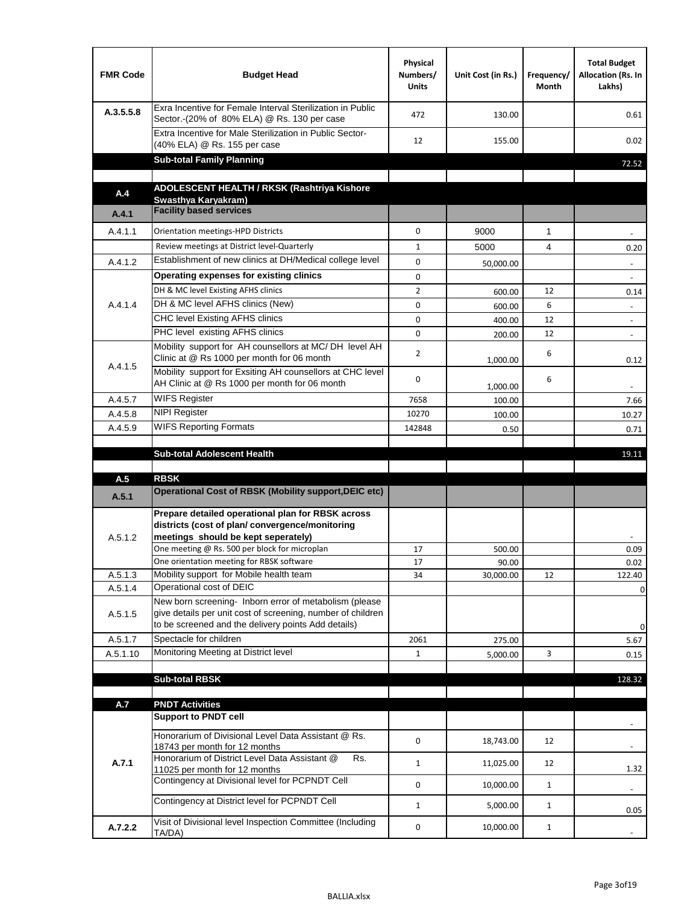| <b>FMR Code</b> | <b>Budget Head</b>                                                                                                                                                           | Physical<br>Numbers/<br><b>Units</b> | Unit Cost (in Rs.) | Frequency/<br>Month | <b>Total Budget</b><br>Allocation (Rs. In<br>Lakhs) |
|-----------------|------------------------------------------------------------------------------------------------------------------------------------------------------------------------------|--------------------------------------|--------------------|---------------------|-----------------------------------------------------|
| A.3.5.5.8       | Exra Incentive for Female Interval Sterilization in Public<br>Sector.-(20% of 80% ELA) @ Rs. 130 per case                                                                    | 472                                  | 130.00             |                     | 0.61                                                |
|                 | Extra Incentive for Male Sterilization in Public Sector-<br>(40% ELA) @ Rs. 155 per case                                                                                     | 12                                   | 155.00             |                     | 0.02                                                |
|                 | <b>Sub-total Family Planning</b>                                                                                                                                             |                                      |                    |                     | 72.52                                               |
|                 | ADOLESCENT HEALTH / RKSK (Rashtriya Kishore                                                                                                                                  |                                      |                    |                     |                                                     |
| A.4             | Swasthya Karyakram)                                                                                                                                                          |                                      |                    |                     |                                                     |
| A.4.1           | <b>Facility based services</b>                                                                                                                                               |                                      |                    |                     |                                                     |
| A.4.1.1         | Orientation meetings-HPD Districts                                                                                                                                           | $\Omega$                             | 9000               | $\mathbf{1}$        |                                                     |
|                 | Review meetings at District level-Quarterly                                                                                                                                  | 1                                    | 5000               | 4                   | 0.20                                                |
| A.4.1.2         | Establishment of new clinics at DH/Medical college level                                                                                                                     | 0                                    | 50,000.00          |                     | $\sim$                                              |
|                 | Operating expenses for existing clinics                                                                                                                                      | 0                                    |                    |                     |                                                     |
|                 | DH & MC level Existing AFHS clinics                                                                                                                                          | $\overline{2}$                       | 600.00             | 12                  | 0.14                                                |
| A.4.1.4         | DH & MC level AFHS clinics (New)                                                                                                                                             | 0                                    | 600.00             | 6                   | $\overline{\phantom{a}}$                            |
|                 | CHC level Existing AFHS clinics                                                                                                                                              | 0                                    | 400.00             | 12                  | $\overline{\phantom{a}}$                            |
|                 | PHC level existing AFHS clinics                                                                                                                                              | $\Omega$                             | 200.00             | 12                  | $\sim$                                              |
| A.4.1.5         | Mobility support for AH counsellors at MC/DH level AH<br>Clinic at @ Rs 1000 per month for 06 month                                                                          | 2                                    | 1,000.00           | 6                   | 0.12                                                |
|                 | Mobility support for Exsiting AH counsellors at CHC level<br>AH Clinic at @ Rs 1000 per month for 06 month                                                                   | 0                                    | 1,000.00           | 6                   | $\blacksquare$                                      |
| A.4.5.7         | <b>WIFS Register</b>                                                                                                                                                         | 7658                                 | 100.00             |                     | 7.66                                                |
| A.4.5.8         | <b>NIPI Register</b>                                                                                                                                                         | 10270                                | 100.00             |                     | 10.27                                               |
| A.4.5.9         | <b>WIFS Reporting Formats</b>                                                                                                                                                | 142848                               | 0.50               |                     | 0.71                                                |
|                 | <b>Sub-total Adolescent Health</b>                                                                                                                                           |                                      |                    |                     | 19.11                                               |
|                 |                                                                                                                                                                              |                                      |                    |                     |                                                     |
| A.5             | <b>RBSK</b>                                                                                                                                                                  |                                      |                    |                     |                                                     |
| A.5.1           | <b>Operational Cost of RBSK (Mobility support, DEIC etc)</b>                                                                                                                 |                                      |                    |                     |                                                     |
| A.5.1.2         | Prepare detailed operational plan for RBSK across<br>districts (cost of plan/convergence/monitoring<br>meetings should be kept seperately)                                   |                                      |                    |                     |                                                     |
|                 | One meeting @ Rs. 500 per block for microplan                                                                                                                                | 17                                   | 500.00             |                     | 0.09                                                |
|                 | One orientation meeting for RBSK software                                                                                                                                    | 17                                   | 90.00              |                     | 0.02                                                |
| A.5.1.3         | Mobility support for Mobile health team                                                                                                                                      | 34                                   | 30,000.00          | 12                  | 122.40                                              |
| A.5.1.4         | Operational cost of DEIC                                                                                                                                                     |                                      |                    |                     | 0                                                   |
| A.5.1.5         | New born screening- Inborn error of metabolism (please<br>give details per unit cost of screening, number of children<br>to be screened and the delivery points Add details) |                                      |                    |                     | 0                                                   |
| A.5.1.7         | Spectacle for children                                                                                                                                                       | 2061                                 | 275.00             |                     | 5.67                                                |
| A.5.1.10        | Monitoring Meeting at District level                                                                                                                                         | $\mathbf{1}$                         | 5,000.00           | 3                   | 0.15                                                |
|                 |                                                                                                                                                                              |                                      |                    |                     |                                                     |
|                 | <b>Sub-total RBSK</b>                                                                                                                                                        |                                      |                    |                     | 128.32                                              |
| A.7             | <b>PNDT Activities</b>                                                                                                                                                       |                                      |                    |                     |                                                     |
|                 | <b>Support to PNDT cell</b>                                                                                                                                                  |                                      |                    |                     |                                                     |
|                 | Honorarium of Divisional Level Data Assistant @ Rs.<br>18743 per month for 12 months                                                                                         | 0                                    | 18,743.00          | 12                  |                                                     |
| A.7.1           | Honorarium of District Level Data Assistant @<br>Rs.                                                                                                                         | $\mathbf{1}$                         | 11,025.00          | 12                  |                                                     |
|                 | 11025 per month for 12 months<br>Contingency at Divisional level for PCPNDT Cell                                                                                             | 0                                    | 10,000.00          | $\mathbf{1}$        | 1.32                                                |
|                 | Contingency at District level for PCPNDT Cell                                                                                                                                | $\mathbf{1}$                         | 5,000.00           | $\mathbf{1}$        | 0.05                                                |
| A.7.2.2         | Visit of Divisional level Inspection Committee (Including<br>TA/DA)                                                                                                          | 0                                    | 10,000.00          | $\mathbf{1}$        |                                                     |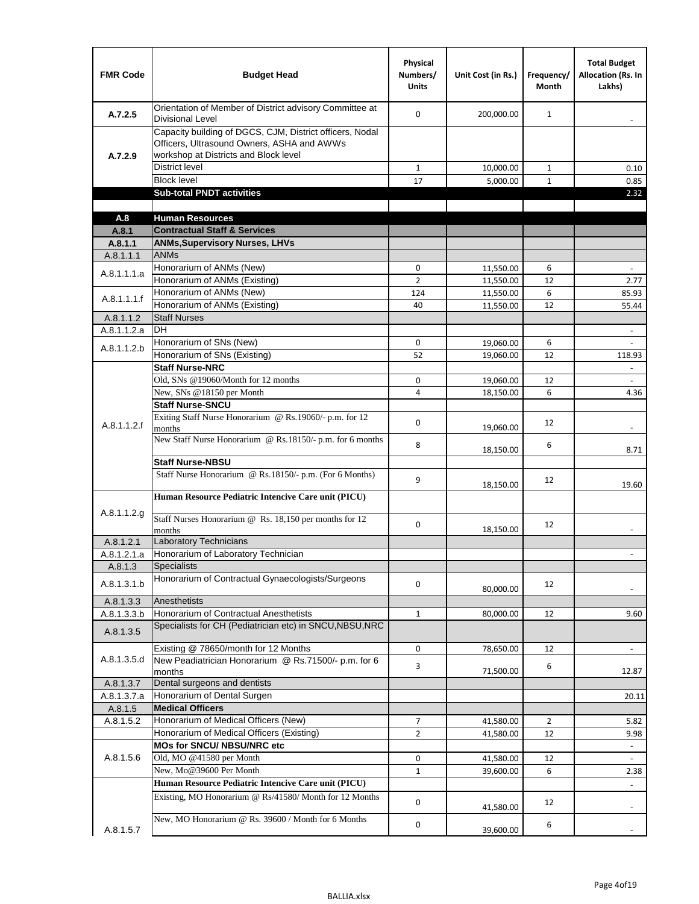| <b>FMR Code</b>      | <b>Budget Head</b>                                                                                                                              | Physical<br>Numbers/<br><b>Units</b> | Unit Cost (in Rs.)     | Frequency/<br><b>Month</b> | <b>Total Budget</b><br><b>Allocation (Rs. In</b><br>Lakhs) |
|----------------------|-------------------------------------------------------------------------------------------------------------------------------------------------|--------------------------------------|------------------------|----------------------------|------------------------------------------------------------|
| A.7.2.5              | Orientation of Member of District advisory Committee at<br><b>Divisional Level</b>                                                              | $\Omega$                             | 200,000.00             | $\mathbf{1}$               | $\blacksquare$                                             |
| A.7.2.9              | Capacity building of DGCS, CJM, District officers, Nodal<br>Officers, Ultrasound Owners, ASHA and AWWs<br>workshop at Districts and Block level |                                      |                        |                            |                                                            |
|                      | <b>District level</b>                                                                                                                           | $\mathbf{1}$                         | 10,000.00              | 1                          | 0.10                                                       |
|                      | <b>Block level</b>                                                                                                                              | 17                                   | 5,000.00               | $\mathbf{1}$               | 0.85                                                       |
|                      | <b>Sub-total PNDT activities</b>                                                                                                                |                                      |                        |                            | 2.32                                                       |
|                      |                                                                                                                                                 |                                      |                        |                            |                                                            |
| A.8                  | <b>Human Resources</b>                                                                                                                          |                                      |                        |                            |                                                            |
| A.8.1                | <b>Contractual Staff &amp; Services</b>                                                                                                         |                                      |                        |                            |                                                            |
| A.8.1.1<br>A.8.1.1.1 | <b>ANMs, Supervisory Nurses, LHVs</b><br><b>ANMs</b>                                                                                            |                                      |                        |                            |                                                            |
|                      | Honorarium of ANMs (New)                                                                                                                        | 0                                    |                        | 6                          | $\overline{\phantom{a}}$                                   |
| A.8.1.1.1.a          | Honorarium of ANMs (Existing)                                                                                                                   | $\overline{2}$                       | 11,550.00<br>11,550.00 | 12                         | 2.77                                                       |
|                      | Honorarium of ANMs (New)                                                                                                                        | 124                                  | 11,550.00              | 6                          | 85.93                                                      |
| A.8.1.1.1.f          | Honorarium of ANMs (Existing)                                                                                                                   | 40                                   | 11,550.00              | 12                         | 55.44                                                      |
| A.8.1.1.2            | <b>Staff Nurses</b>                                                                                                                             |                                      |                        |                            |                                                            |
| A.8.1.1.2.a          | <b>DH</b>                                                                                                                                       |                                      |                        |                            | $\blacksquare$                                             |
|                      | Honorarium of SNs (New)                                                                                                                         | 0                                    | 19,060.00              | 6                          |                                                            |
| A.8.1.1.2.b          | Honorarium of SNs (Existing)                                                                                                                    | 52                                   | 19,060.00              | 12                         | 118.93                                                     |
|                      | <b>Staff Nurse-NRC</b>                                                                                                                          |                                      |                        |                            | $\Box$                                                     |
|                      | Old, SNs @19060/Month for 12 months                                                                                                             | 0                                    | 19,060.00              | 12                         | $\overline{\phantom{a}}$                                   |
|                      | New, SNs @18150 per Month                                                                                                                       | 4                                    | 18,150.00              | 6                          | 4.36                                                       |
|                      | <b>Staff Nurse-SNCU</b>                                                                                                                         |                                      |                        |                            |                                                            |
| A.8.1.1.2.f          | Exiting Staff Nurse Honorarium @ Rs.19060/- p.m. for 12<br>months                                                                               | $\Omega$                             | 19,060.00              | 12                         | -                                                          |
|                      | New Staff Nurse Honorarium @ Rs.18150/- p.m. for 6 months                                                                                       | 8                                    | 18,150.00              | 6                          | 8.71                                                       |
|                      | <b>Staff Nurse-NBSU</b>                                                                                                                         |                                      |                        |                            |                                                            |
|                      | Staff Nurse Honorarium @ Rs.18150/- p.m. (For 6 Months)                                                                                         | 9                                    | 18,150.00              | 12                         | 19.60                                                      |
|                      | Human Resource Pediatric Intencive Care unit (PICU)                                                                                             |                                      |                        |                            |                                                            |
| A.8.1.1.2.g          | Staff Nurses Honorarium @ Rs. 18,150 per months for 12<br>months                                                                                | 0                                    | 18,150.00              | 12                         |                                                            |
| A.8.1.2.1            | <b>Laboratory Technicians</b>                                                                                                                   |                                      |                        |                            |                                                            |
| A.8.1.2.1.a          | Honorarium of Laboratory Technician                                                                                                             |                                      |                        |                            |                                                            |
| A.8.1.3              | <b>Specialists</b>                                                                                                                              |                                      |                        |                            |                                                            |
| A.8.1.3.1.b          | Honorarium of Contractual Gynaecologists/Surgeons                                                                                               | $\mathbf 0$                          | 80,000.00              | 12                         |                                                            |
| A.8.1.3.3            | Anesthetists                                                                                                                                    |                                      |                        |                            |                                                            |
| A.8.1.3.3.b          | Honorarium of Contractual Anesthetists                                                                                                          | $\mathbf{1}$                         | 80,000.00              | 12                         | 9.60                                                       |
| A.8.1.3.5            | Specialists for CH (Pediatrician etc) in SNCU, NBSU, NRC                                                                                        |                                      |                        |                            |                                                            |
|                      | Existing @ 78650/month for 12 Months                                                                                                            | 0                                    | 78,650.00              | 12                         | $\blacksquare$                                             |
| A.8.1.3.5.d          | New Peadiatrician Honorarium @ Rs.71500/- p.m. for 6<br>months                                                                                  | 3                                    | 71,500.00              | 6                          | 12.87                                                      |
| A.8.1.3.7            | Dental surgeons and dentists                                                                                                                    |                                      |                        |                            |                                                            |
| A.8.1.3.7.a          | Honorarium of Dental Surgen                                                                                                                     |                                      |                        |                            | 20.11                                                      |
| A.8.1.5              | <b>Medical Officers</b>                                                                                                                         |                                      |                        |                            |                                                            |
| A.8.1.5.2            | Honorarium of Medical Officers (New)                                                                                                            | $\overline{7}$                       | 41,580.00              | $\overline{2}$             | 5.82                                                       |
|                      | Honorarium of Medical Officers (Existing)                                                                                                       | $\overline{2}$                       | 41,580.00              | 12                         | 9.98                                                       |
|                      | MOs for SNCU/ NBSU/NRC etc                                                                                                                      |                                      |                        |                            |                                                            |
| A.8.1.5.6            | Old, MO @41580 per Month                                                                                                                        | 0                                    | 41,580.00              | 12                         | L.                                                         |
|                      | New, Mo@39600 Per Month                                                                                                                         | $\mathbf{1}$                         | 39,600.00              | 6                          | 2.38                                                       |
|                      | Human Resource Pediatric Intencive Care unit (PICU)                                                                                             |                                      |                        |                            |                                                            |
|                      | Existing, MO Honorarium @ Rs/41580/ Month for 12 Months                                                                                         | $\mathbf 0$                          | 41,580.00              | 12                         |                                                            |
| A.8.1.5.7            | New, MO Honorarium @ Rs. 39600 / Month for 6 Months                                                                                             | 0                                    | 39,600.00              | 6                          |                                                            |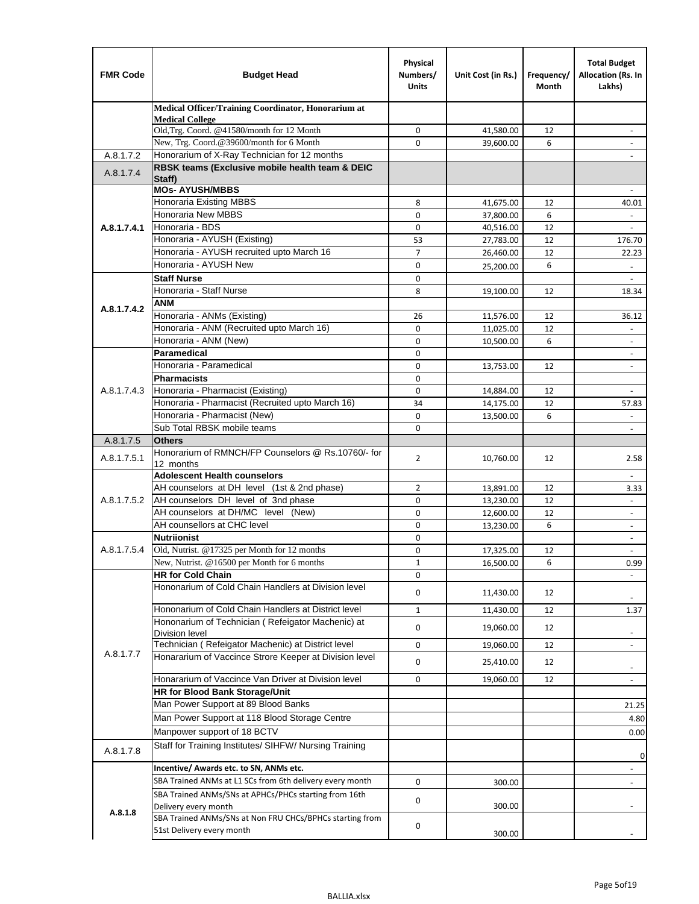| <b>FMR Code</b> | <b>Budget Head</b>                                                               | Physical<br>Numbers/<br><b>Units</b> | Unit Cost (in Rs.) | Frequency/<br>Month | <b>Total Budget</b><br>Allocation (Rs. In<br>Lakhs) |
|-----------------|----------------------------------------------------------------------------------|--------------------------------------|--------------------|---------------------|-----------------------------------------------------|
|                 | Medical Officer/Training Coordinator, Honorarium at                              |                                      |                    |                     |                                                     |
|                 | <b>Medical College</b><br>Old, Trg. Coord. @41580/month for 12 Month             | 0                                    | 41,580.00          | 12                  |                                                     |
|                 | New, Trg. Coord.@39600/month for 6 Month                                         | $\Omega$                             | 39,600.00          | 6                   |                                                     |
| A.8.1.7.2       | Honorarium of X-Ray Technician for 12 months                                     |                                      |                    |                     |                                                     |
| A.8.1.7.4       | RBSK teams (Exclusive mobile health team & DEIC                                  |                                      |                    |                     |                                                     |
|                 | Staff)<br><b>MOs- AYUSH/MBBS</b>                                                 |                                      |                    |                     |                                                     |
|                 | Honoraria Existing MBBS                                                          | 8                                    | 41,675.00          | 12                  | 40.01                                               |
|                 | Honoraria New MBBS                                                               | 0                                    | 37,800.00          | 6                   | $\blacksquare$                                      |
| A.8.1.7.4.1     | Honoraria - BDS                                                                  | $\mathbf 0$                          | 40,516.00          | 12                  |                                                     |
|                 | Honoraria - AYUSH (Existing)                                                     | 53                                   | 27,783.00          | 12                  | 176.70                                              |
|                 | Honoraria - AYUSH recruited upto March 16                                        | $\overline{7}$                       | 26,460.00          | 12                  | 22.23                                               |
|                 | Honoraria - AYUSH New                                                            | $\mathbf 0$                          | 25,200.00          | 6                   |                                                     |
|                 | <b>Staff Nurse</b>                                                               | $\mathbf 0$                          |                    |                     | $\omega$                                            |
|                 | Honoraria - Staff Nurse                                                          | 8                                    | 19,100.00          | 12                  | 18.34                                               |
| A.8.1.7.4.2     | ANM                                                                              |                                      |                    |                     |                                                     |
|                 | Honoraria - ANMs (Existing)                                                      | 26                                   | 11,576.00          | 12                  | 36.12                                               |
|                 | Honoraria - ANM (Recruited upto March 16)                                        | $\mathbf 0$                          | 11,025.00          | 12                  |                                                     |
|                 | Honoraria - ANM (New)                                                            | $\mathbf 0$                          | 10,500.00          | 6                   | $\blacksquare$                                      |
|                 | <b>Paramedical</b><br>Honoraria - Paramedical                                    | $\mathbf 0$                          |                    |                     | $\overline{\phantom{a}}$                            |
|                 | <b>Pharmacists</b>                                                               | 0<br>$\mathbf 0$                     | 13,753.00          | 12                  | $\blacksquare$                                      |
| A.8.1.7.4.3     | Honoraria - Pharmacist (Existing)                                                | $\mathbf 0$                          | 14,884.00          | 12                  |                                                     |
|                 | Honoraria - Pharmacist (Recruited upto March 16)                                 | 34                                   | 14,175.00          | 12                  | 57.83                                               |
|                 | Honoraria - Pharmacist (New)                                                     | $\mathbf 0$                          | 13,500.00          | 6                   | $\omega$                                            |
|                 | Sub Total RBSK mobile teams                                                      | $\Omega$                             |                    |                     | $\overline{\phantom{a}}$                            |
| A.8.1.7.5       | <b>Others</b>                                                                    |                                      |                    |                     |                                                     |
| A.8.1.7.5.1     | Honorarium of RMNCH/FP Counselors @ Rs.10760/- for                               | $\overline{2}$                       | 10,760.00          | 12                  | 2.58                                                |
|                 | 12 months<br><b>Adolescent Health counselors</b>                                 |                                      |                    |                     | $\blacksquare$                                      |
|                 | AH counselors at DH level (1st & 2nd phase)                                      | 2                                    | 13,891.00          | 12                  | 3.33                                                |
| A.8.1.7.5.2     | AH counselors DH level of 3nd phase                                              | $\mathbf 0$                          | 13,230.00          | 12                  | $\overline{\phantom{a}}$                            |
|                 | AH counselors at DH/MC level (New)                                               | 0                                    | 12,600.00          | 12                  | $\overline{\phantom{a}}$                            |
|                 | AH counsellors at CHC level                                                      | $\mathbf 0$                          | 13,230.00          | 6                   | $\blacksquare$                                      |
|                 | <b>Nutriionist</b>                                                               | $\mathbf 0$                          |                    |                     | $\overline{\phantom{a}}$                            |
| A.8.1.7.5.4     | Old, Nutrist. @17325 per Month for 12 months                                     | $\mathbf 0$                          | 17,325.00          | 12                  |                                                     |
|                 | New, Nutrist. @16500 per Month for 6 months                                      | 1                                    | 16,500.00          | 6                   | 0.99                                                |
|                 | <b>HR for Cold Chain</b>                                                         | 0                                    |                    |                     |                                                     |
|                 | Hononarium of Cold Chain Handlers at Division level                              | 0                                    | 11,430.00          | 12                  |                                                     |
|                 | Hononarium of Cold Chain Handlers at District level                              | 1                                    | 11,430.00          | 12                  | 1.37                                                |
|                 | Hononarium of Technician (Refeigator Machenic) at                                | 0                                    | 19,060.00          | 12                  |                                                     |
|                 | <b>Division level</b>                                                            |                                      |                    |                     | $\overline{\phantom{a}}$                            |
| A.8.1.7.7       | Technician (Refeigator Machenic) at District level                               | 0                                    | 19,060.00          | 12                  | $\overline{\phantom{a}}$                            |
|                 | Honararium of Vaccince Strore Keeper at Division level                           | $\mathbf 0$                          | 25,410.00          | 12                  | $\overline{\phantom{a}}$                            |
|                 | Honararium of Vaccince Van Driver at Division level                              | 0                                    | 19,060.00          | 12                  | $\blacksquare$                                      |
|                 | <b>HR for Blood Bank Storage/Unit</b>                                            |                                      |                    |                     |                                                     |
|                 | Man Power Support at 89 Blood Banks                                              |                                      |                    |                     | 21.25                                               |
|                 | Man Power Support at 118 Blood Storage Centre                                    |                                      |                    |                     | 4.80                                                |
|                 | Manpower support of 18 BCTV                                                      |                                      |                    |                     | 0.00                                                |
| A.8.1.7.8       | Staff for Training Institutes/ SIHFW/ Nursing Training                           |                                      |                    |                     | 0                                                   |
|                 | Incentive/ Awards etc. to SN, ANMs etc.                                          |                                      |                    |                     |                                                     |
|                 | SBA Trained ANMs at L1 SCs from 6th delivery every month                         | 0                                    | 300.00             |                     | $\overline{\phantom{a}}$                            |
|                 | SBA Trained ANMs/SNs at APHCs/PHCs starting from 16th                            | 0                                    |                    |                     |                                                     |
| A.8.1.8         | Delivery every month<br>SBA Trained ANMs/SNs at Non FRU CHCs/BPHCs starting from |                                      | 300.00             |                     |                                                     |
|                 | 51st Delivery every month                                                        | 0                                    | 300.00             |                     |                                                     |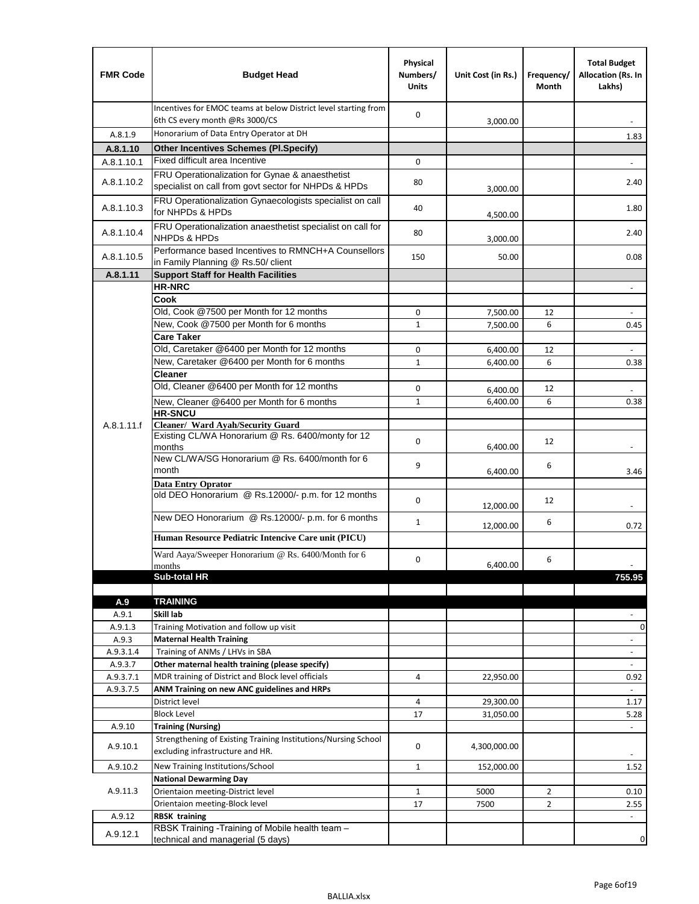| <b>FMR Code</b>      | <b>Budget Head</b>                                                                                      | Physical<br>Numbers/<br><b>Units</b> | Unit Cost (in Rs.) | Frequency/<br>Month | <b>Total Budget</b><br>Allocation (Rs. In<br>Lakhs) |
|----------------------|---------------------------------------------------------------------------------------------------------|--------------------------------------|--------------------|---------------------|-----------------------------------------------------|
|                      | Incentives for EMOC teams at below District level starting from<br>6th CS every month @Rs 3000/CS       | 0                                    | 3,000.00           |                     |                                                     |
| A.8.1.9              | Honorarium of Data Entry Operator at DH                                                                 |                                      |                    |                     | 1.83                                                |
| A.8.1.10             | <b>Other Incentives Schemes (Pl.Specify)</b>                                                            |                                      |                    |                     |                                                     |
| A.8.1.10.1           | Fixed difficult area Incentive                                                                          | 0                                    |                    |                     |                                                     |
| A.8.1.10.2           | FRU Operationalization for Gynae & anaesthetist<br>specialist on call from govt sector for NHPDs & HPDs | 80                                   | 3,000.00           |                     | 2.40                                                |
| A.8.1.10.3           | FRU Operationalization Gynaecologists specialist on call<br>for NHPDs & HPDs                            | 40                                   | 4,500.00           |                     | 1.80                                                |
| A.8.1.10.4           | FRU Operationalization anaesthetist specialist on call for<br>NHPDs & HPDs                              | 80                                   | 3,000.00           |                     | 2.40                                                |
| A.8.1.10.5           | Performance based Incentives to RMNCH+A Counsellors<br>in Family Planning @ Rs.50/ client               | 150                                  | 50.00              |                     | 0.08                                                |
| A.8.1.11             | <b>Support Staff for Health Facilities</b>                                                              |                                      |                    |                     |                                                     |
|                      | <b>HR-NRC</b>                                                                                           |                                      |                    |                     | $\overline{\phantom{m}}$                            |
|                      | Cook                                                                                                    |                                      |                    |                     |                                                     |
|                      | Old, Cook @7500 per Month for 12 months                                                                 | 0                                    | 7,500.00           | 12                  | $\blacksquare$                                      |
|                      | New, Cook @7500 per Month for 6 months<br><b>Care Taker</b>                                             | 1                                    | 7,500.00           | 6                   | 0.45                                                |
|                      | Old, Caretaker @6400 per Month for 12 months                                                            | 0                                    | 6,400.00           | 12                  |                                                     |
|                      | New, Caretaker @6400 per Month for 6 months                                                             | $\mathbf{1}$                         | 6,400.00           | 6                   | 0.38                                                |
|                      | <b>Cleaner</b>                                                                                          |                                      |                    |                     |                                                     |
|                      | Old, Cleaner @6400 per Month for 12 months                                                              | 0                                    | 6,400.00           | 12                  |                                                     |
|                      | New, Cleaner @6400 per Month for 6 months                                                               | 1                                    | 6,400.00           | 6                   | 0.38                                                |
|                      | <b>HR-SNCU</b>                                                                                          |                                      |                    |                     |                                                     |
| A.8.1.11.f           | Cleaner/ Ward Ayah/Security Guard                                                                       |                                      |                    |                     |                                                     |
|                      | Existing CL/WA Honorarium @ Rs. 6400/monty for 12<br>months                                             | 0                                    | 6,400.00           | 12                  |                                                     |
|                      | New CL/WA/SG Honorarium @ Rs. 6400/month for 6<br>month                                                 | 9                                    | 6,400.00           | 6                   | 3.46                                                |
|                      | <b>Data Entry Oprator</b><br>old DEO Honorarium @ Rs.12000/- p.m. for 12 months                         | $\mathbf 0$                          |                    | 12                  |                                                     |
|                      | New DEO Honorarium @ Rs.12000/- p.m. for 6 months                                                       |                                      | 12,000.00          |                     |                                                     |
|                      | Human Resource Pediatric Intencive Care unit (PICU)                                                     | $\mathbf{1}$                         | 12,000.00          | 6                   | 0.72                                                |
|                      | Ward Aaya/Sweeper Honorarium @ Rs. 6400/Month for 6                                                     |                                      |                    |                     |                                                     |
|                      | months                                                                                                  | $\Omega$                             | 6,400.00           | 6                   |                                                     |
|                      | Sub-total HR                                                                                            |                                      |                    |                     | 755.95                                              |
|                      |                                                                                                         |                                      |                    |                     |                                                     |
| A.9                  | <b>TRAINING</b>                                                                                         |                                      |                    |                     |                                                     |
| A.9.1                | Skill lab                                                                                               |                                      |                    |                     |                                                     |
| A.9.1.3              | Training Motivation and follow up visit                                                                 |                                      |                    |                     | 0                                                   |
| A.9.3                | <b>Maternal Health Training</b><br>Training of ANMs / LHVs in SBA                                       |                                      |                    |                     | $\overline{\phantom{a}}$                            |
| A.9.3.1.4<br>A.9.3.7 | Other maternal health training (please specify)                                                         |                                      |                    |                     | $\frac{1}{2}$<br>$\overline{\phantom{a}}$           |
| A.9.3.7.1            | MDR training of District and Block level officials                                                      | 4                                    | 22,950.00          |                     | 0.92                                                |
| A.9.3.7.5            | ANM Training on new ANC guidelines and HRPs                                                             |                                      |                    |                     | ÷.                                                  |
|                      | District level                                                                                          | 4                                    | 29,300.00          |                     | 1.17                                                |
|                      | <b>Block Level</b>                                                                                      | 17                                   | 31,050.00          |                     | 5.28                                                |
| A.9.10               | <b>Training (Nursing)</b>                                                                               |                                      |                    |                     | $\overline{\phantom{a}}$                            |
| A.9.10.1             | Strengthening of Existing Training Institutions/Nursing School<br>excluding infrastructure and HR.      | 0                                    | 4,300,000.00       |                     |                                                     |
| A.9.10.2             | New Training Institutions/School                                                                        | 1                                    | 152,000.00         |                     | 1.52                                                |
|                      | <b>National Dewarming Day</b>                                                                           |                                      |                    |                     |                                                     |
| A.9.11.3             | Orientaion meeting-District level                                                                       | 1                                    | 5000               | $\overline{2}$      | 0.10                                                |
|                      | Orientaion meeting-Block level                                                                          | 17                                   | 7500               | $\overline{2}$      | 2.55                                                |
| A.9.12               | <b>RBSK training</b>                                                                                    |                                      |                    |                     | $\blacksquare$                                      |
| A.9.12.1             | RBSK Training -Training of Mobile health team -<br>technical and managerial (5 days)                    |                                      |                    |                     | 0                                                   |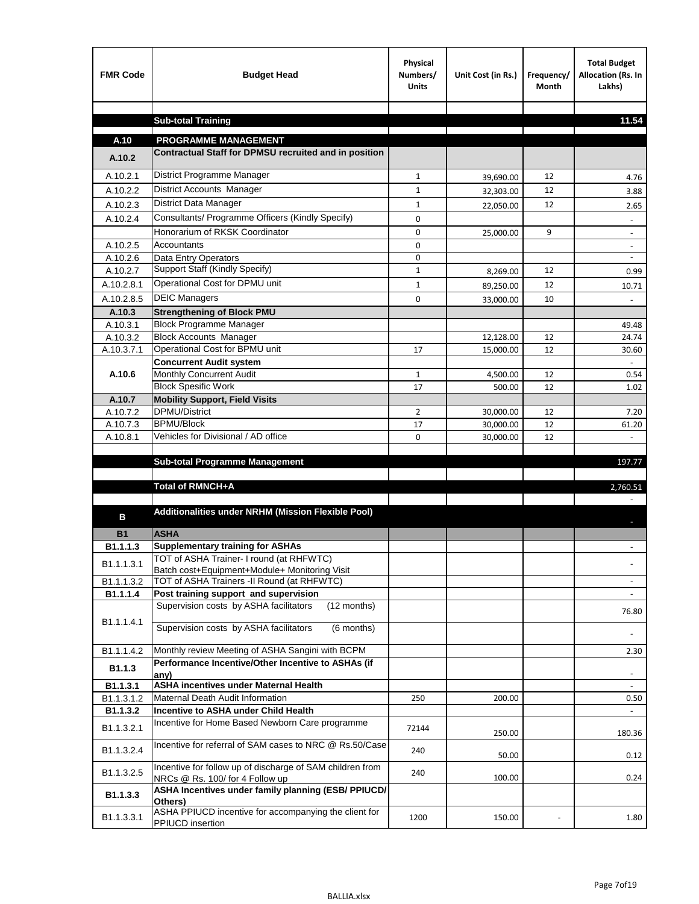| <b>FMR Code</b>       | <b>Budget Head</b>                                                                           | Physical<br>Numbers/<br><b>Units</b> | Unit Cost (in Rs.) | Frequency/<br><b>Month</b> | <b>Total Budget</b><br>Allocation (Rs. In<br>Lakhs) |
|-----------------------|----------------------------------------------------------------------------------------------|--------------------------------------|--------------------|----------------------------|-----------------------------------------------------|
|                       | <b>Sub-total Training</b>                                                                    |                                      |                    |                            | 11.54                                               |
|                       |                                                                                              |                                      |                    |                            |                                                     |
| A.10                  | <b>PROGRAMME MANAGEMENT</b>                                                                  |                                      |                    |                            |                                                     |
| A.10.2                | Contractual Staff for DPMSU recruited and in position                                        |                                      |                    |                            |                                                     |
| A.10.2.1              | District Programme Manager                                                                   | $\mathbf{1}$                         | 39,690.00          | 12                         | 4.76                                                |
| A.10.2.2              | District Accounts Manager                                                                    | 1                                    | 32,303.00          | 12                         | 3.88                                                |
| A.10.2.3              | District Data Manager                                                                        | $\mathbf{1}$                         | 22,050.00          | 12                         | 2.65                                                |
| A.10.2.4              | Consultants/ Programme Officers (Kindly Specify)                                             | $\mathbf 0$                          |                    |                            |                                                     |
|                       | Honorarium of RKSK Coordinator                                                               | 0                                    | 25,000.00          | 9                          | $\overline{\phantom{a}}$                            |
| A.10.2.5              | Accountants                                                                                  | 0                                    |                    |                            |                                                     |
| A.10.2.6              | Data Entry Operators                                                                         | 0                                    |                    |                            | $\overline{\phantom{a}}$                            |
| A.10.2.7              | Support Staff (Kindly Specify)                                                               | $\mathbf{1}$                         | 8,269.00           | 12                         | 0.99                                                |
| A.10.2.8.1            | Operational Cost for DPMU unit                                                               | $\mathbf{1}$                         | 89,250.00          | 12                         | 10.71                                               |
| A.10.2.8.5            | <b>DEIC Managers</b>                                                                         | $\mathbf 0$                          | 33,000.00          | 10                         |                                                     |
| A.10.3                | <b>Strengthening of Block PMU</b>                                                            |                                      |                    |                            |                                                     |
| A.10.3.1              | <b>Block Programme Manager</b>                                                               |                                      |                    |                            | 49.48                                               |
| A.10.3.2              | <b>Block Accounts Manager</b>                                                                |                                      | 12,128.00          | 12                         | 24.74                                               |
| A.10.3.7.1            | Operational Cost for BPMU unit                                                               | 17                                   | 15,000.00          | 12                         | 30.60                                               |
| A.10.6                | <b>Concurrent Audit system</b><br>Monthly Concurrent Audit                                   | $\mathbf{1}$                         | 4,500.00           | 12                         | 0.54                                                |
|                       | <b>Block Spesific Work</b>                                                                   | 17                                   | 500.00             | 12                         | 1.02                                                |
| A.10.7                | <b>Mobility Support, Field Visits</b>                                                        |                                      |                    |                            |                                                     |
| A.10.7.2              | <b>DPMU/District</b>                                                                         | 2                                    | 30,000.00          | 12                         | 7.20                                                |
| A.10.7.3              | <b>BPMU/Block</b>                                                                            | 17                                   | 30,000.00          | 12                         | 61.20                                               |
| A.10.8.1              | Vehicles for Divisional / AD office                                                          | 0                                    | 30,000.00          | 12                         |                                                     |
|                       |                                                                                              |                                      |                    |                            |                                                     |
|                       | <b>Sub-total Programme Management</b>                                                        |                                      |                    |                            | 197.77                                              |
|                       | Total of RMNCH+A                                                                             |                                      |                    |                            | 2,760.51                                            |
|                       |                                                                                              |                                      |                    |                            |                                                     |
| в                     | Additionalities under NRHM (Mission Flexible Pool)                                           |                                      |                    |                            |                                                     |
|                       | <b>ASHA</b>                                                                                  |                                      |                    |                            |                                                     |
| <b>B1</b><br>B1.1.1.3 | <b>Supplementary training for ASHAs</b>                                                      |                                      |                    |                            |                                                     |
|                       | TOT of ASHA Trainer- I round (at RHFWTC)                                                     |                                      |                    |                            |                                                     |
| B1.1.1.3.1            | Batch cost+Equipment+Module+ Monitoring Visit                                                |                                      |                    |                            |                                                     |
| B1.1.1.3.2            | TOT of ASHA Trainers -II Round (at RHFWTC)                                                   |                                      |                    |                            |                                                     |
| B1.1.1.4              | Post training support and supervision                                                        |                                      |                    |                            | $\sim$                                              |
|                       | Supervision costs by ASHA facilitators<br>(12 months)                                        |                                      |                    |                            | 76.80                                               |
| B1.1.1.4.1            | Supervision costs by ASHA facilitators<br>(6 months)                                         |                                      |                    |                            |                                                     |
|                       |                                                                                              |                                      |                    |                            |                                                     |
| B1.1.1.4.2            | Monthly review Meeting of ASHA Sangini with BCPM                                             |                                      |                    |                            | 2.30                                                |
| B <sub>1.1.3</sub>    | Performance Incentive/Other Incentive to ASHAs (if                                           |                                      |                    |                            |                                                     |
| B1.1.3.1              | any)<br><b>ASHA incentives under Maternal Health</b>                                         |                                      |                    |                            |                                                     |
| B1.1.3.1.2            | Maternal Death Audit Information                                                             | 250                                  | 200.00             |                            | 0.50                                                |
| B1.1.3.2              | Incentive to ASHA under Child Health                                                         |                                      |                    |                            | ÷.                                                  |
| B1.1.3.2.1            | Incentive for Home Based Newborn Care programme                                              | 72144                                | 250.00             |                            | 180.36                                              |
| B1.1.3.2.4            | Incentive for referral of SAM cases to NRC @ Rs.50/Case                                      | 240                                  | 50.00              |                            | 0.12                                                |
| B1.1.3.2.5            | Incentive for follow up of discharge of SAM children from<br>NRCs @ Rs. 100/ for 4 Follow up | 240                                  | 100.00             |                            | 0.24                                                |
| B1.1.3.3              | ASHA Incentives under family planning (ESB/ PPIUCD/<br>Others)                               |                                      |                    |                            |                                                     |
| B1.1.3.3.1            | ASHA PPIUCD incentive for accompanying the client for<br>PPIUCD insertion                    | 1200                                 | 150.00             |                            | 1.80                                                |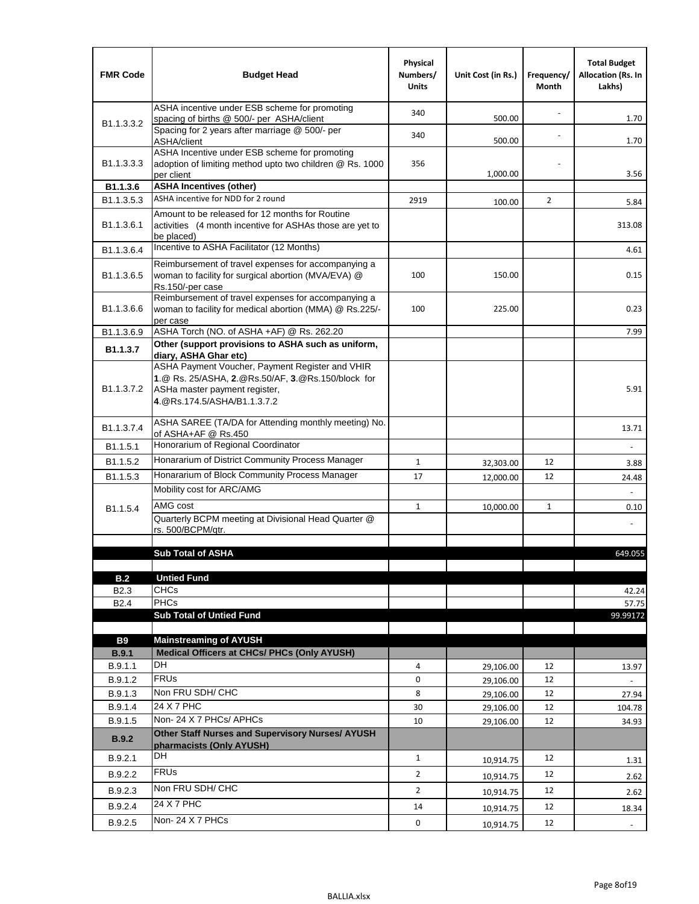| <b>FMR Code</b>            | <b>Budget Head</b>                                                                                                                                                                             | Physical<br>Numbers/<br><b>Units</b> | Unit Cost (in Rs.) | Frequency/<br>Month | <b>Total Budget</b><br><b>Allocation (Rs. In</b><br>Lakhs) |
|----------------------------|------------------------------------------------------------------------------------------------------------------------------------------------------------------------------------------------|--------------------------------------|--------------------|---------------------|------------------------------------------------------------|
|                            | ASHA incentive under ESB scheme for promoting<br>spacing of births @ 500/- per ASHA/client                                                                                                     | 340                                  | 500.00             |                     | 1.70                                                       |
| B <sub>1.1</sub> , 3, 3, 2 | Spacing for 2 years after marriage @ 500/- per<br>ASHA/client                                                                                                                                  | 340                                  | 500.00             |                     | 1.70                                                       |
| B1.1.3.3.3                 | ASHA Incentive under ESB scheme for promoting<br>adoption of limiting method upto two children @ Rs. 1000<br>per client                                                                        | 356                                  | 1,000.00           |                     | 3.56                                                       |
| B1.1.3.6                   | <b>ASHA Incentives (other)</b>                                                                                                                                                                 |                                      |                    |                     |                                                            |
| B <sub>1.1</sub> , 3, 5, 3 | ASHA incentive for NDD for 2 round                                                                                                                                                             | 2919                                 | 100.00             | $\overline{2}$      | 5.84                                                       |
| B <sub>1.1</sub> .3.6.1    | Amount to be released for 12 months for Routine<br>activities (4 month incentive for ASHAs those are yet to<br>be placed)                                                                      |                                      |                    |                     | 313.08                                                     |
| B1.1.3.6.4                 | Incentive to ASHA Facilitator (12 Months)                                                                                                                                                      |                                      |                    |                     | 4.61                                                       |
| B <sub>1.1</sub> .3.6.5    | Reimbursement of travel expenses for accompanying a<br>woman to facility for surgical abortion (MVA/EVA) @<br>Rs.150/-per case                                                                 | 100                                  | 150.00             |                     | 0.15                                                       |
| B <sub>1.1</sub> .3.6.6    | Reimbursement of travel expenses for accompanying a<br>woman to facility for medical abortion (MMA) @ Rs.225/-<br>per case                                                                     | 100                                  | 225.00             |                     | 0.23                                                       |
| B1.1.3.6.9                 | ASHA Torch (NO. of ASHA +AF) @ Rs. 262.20                                                                                                                                                      |                                      |                    |                     | 7.99                                                       |
| B1.1.3.7                   | Other (support provisions to ASHA such as uniform,                                                                                                                                             |                                      |                    |                     |                                                            |
| B <sub>1.1</sub> .3.7.2    | diary, ASHA Ghar etc)<br>ASHA Payment Voucher, Payment Register and VHIR<br>1.@ Rs. 25/ASHA, 2.@Rs.50/AF, 3.@Rs.150/block for<br>ASHa master payment register,<br>4. @Rs.174.5/ASHA/B1.1.3.7.2 |                                      |                    |                     | 5.91                                                       |
| B <sub>1.1</sub> , 3.7.4   | ASHA SAREE (TA/DA for Attending monthly meeting) No.<br>of ASHA+AF @ Rs.450                                                                                                                    |                                      |                    |                     | 13.71                                                      |
| B <sub>1.1</sub> .5.1      | Honorarium of Regional Coordinator                                                                                                                                                             |                                      |                    |                     |                                                            |
| B1.1.5.2                   | Honararium of District Community Process Manager                                                                                                                                               | $\mathbf{1}$                         | 32,303.00          | 12                  | 3.88                                                       |
| B1.1.5.3                   | Honararium of Block Community Process Manager                                                                                                                                                  | 17                                   | 12,000.00          | 12                  | 24.48                                                      |
|                            | Mobility cost for ARC/AMG                                                                                                                                                                      |                                      |                    |                     |                                                            |
| B <sub>1.1.5.4</sub>       | AMG cost                                                                                                                                                                                       | $\mathbf{1}$                         | 10,000.00          | 1                   | 0.10                                                       |
|                            | Quarterly BCPM meeting at Divisional Head Quarter @                                                                                                                                            |                                      |                    |                     |                                                            |
|                            | rs. 500/BCPM/qtr.                                                                                                                                                                              |                                      |                    |                     |                                                            |
|                            | <b>Sub Total of ASHA</b>                                                                                                                                                                       |                                      |                    |                     | 649.055                                                    |
|                            |                                                                                                                                                                                                |                                      |                    |                     |                                                            |
| B.2                        | <b>Untied Fund</b>                                                                                                                                                                             |                                      |                    |                     |                                                            |
| B <sub>2.3</sub>           | <b>CHCs</b>                                                                                                                                                                                    |                                      |                    |                     | 42.24                                                      |
| B <sub>2.4</sub>           | PHCs                                                                                                                                                                                           |                                      |                    |                     | 57.75                                                      |
|                            | <b>Sub Total of Untied Fund</b>                                                                                                                                                                |                                      |                    |                     | 99.99172                                                   |
| <b>B9</b>                  | <b>Mainstreaming of AYUSH</b>                                                                                                                                                                  |                                      |                    |                     |                                                            |
| B.9.1                      | Medical Officers at CHCs/ PHCs (Only AYUSH)                                                                                                                                                    |                                      |                    |                     |                                                            |
| B.9.1.1                    | <b>DH</b>                                                                                                                                                                                      | 4                                    | 29,106.00          | 12                  | 13.97                                                      |
| B.9.1.2                    | <b>FRUs</b>                                                                                                                                                                                    | 0                                    | 29,106.00          | 12                  |                                                            |
| B.9.1.3                    | Non FRU SDH/ CHC                                                                                                                                                                               | 8                                    | 29,106.00          | 12                  | 27.94                                                      |
| B.9.1.4                    | 24 X 7 PHC                                                                                                                                                                                     | 30                                   | 29,106.00          | 12                  | 104.78                                                     |
| B.9.1.5                    | Non-24 X 7 PHCs/ APHCs                                                                                                                                                                         | 10                                   | 29,106.00          | 12                  | 34.93                                                      |
| B.9.2                      | Other Staff Nurses and Supervisory Nurses/ AYUSH<br>pharmacists (Only AYUSH)                                                                                                                   |                                      |                    |                     |                                                            |
| B.9.2.1                    | DH                                                                                                                                                                                             | $\mathbf{1}$                         | 10,914.75          | 12                  | 1.31                                                       |
| B.9.2.2                    | <b>FRUs</b>                                                                                                                                                                                    | $\overline{2}$                       | 10,914.75          | 12                  | 2.62                                                       |
| B.9.2.3                    | Non FRU SDH/ CHC                                                                                                                                                                               | $\overline{2}$                       | 10,914.75          | 12                  | 2.62                                                       |
| B.9.2.4                    | 24 X 7 PHC                                                                                                                                                                                     | 14                                   | 10,914.75          | 12                  | 18.34                                                      |
| B.9.2.5                    | Non-24 X 7 PHCs                                                                                                                                                                                | 0                                    |                    | 12                  |                                                            |
|                            |                                                                                                                                                                                                |                                      | 10,914.75          |                     | $\overline{\phantom{a}}$                                   |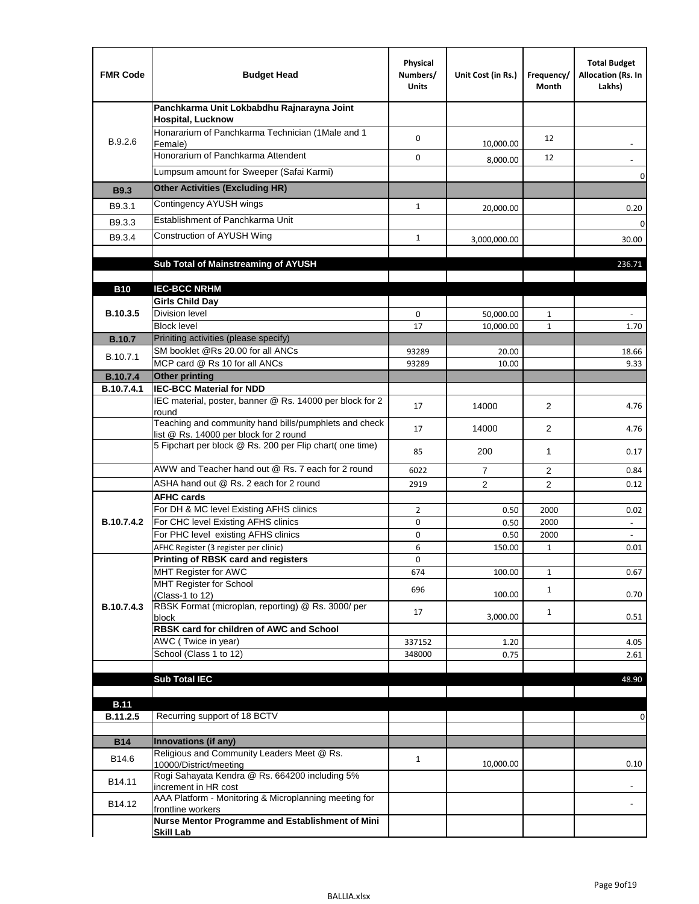| <b>FMR Code</b>   | <b>Budget Head</b>                                                                              | Physical<br>Numbers/<br><b>Units</b> | Unit Cost (in Rs.) | Frequency/<br>Month | <b>Total Budget</b><br>Allocation (Rs. In<br>Lakhs) |
|-------------------|-------------------------------------------------------------------------------------------------|--------------------------------------|--------------------|---------------------|-----------------------------------------------------|
|                   | Panchkarma Unit Lokbabdhu Rajnarayna Joint<br><b>Hospital, Lucknow</b>                          |                                      |                    |                     |                                                     |
| B.9.2.6           | Honararium of Panchkarma Technician (1Male and 1<br>Female)                                     | 0                                    | 10,000.00          | 12                  |                                                     |
|                   | Honorarium of Panchkarma Attendent                                                              | 0                                    | 8,000.00           | 12                  |                                                     |
|                   | Lumpsum amount for Sweeper (Safai Karmi)                                                        |                                      |                    |                     | 0                                                   |
| <b>B9.3</b>       | <b>Other Activities (Excluding HR)</b>                                                          |                                      |                    |                     |                                                     |
| B9.3.1            | Contingency AYUSH wings                                                                         | $\mathbf{1}$                         | 20,000.00          |                     | 0.20                                                |
| B9.3.3            | Establishment of Panchkarma Unit                                                                |                                      |                    |                     | $\mathbf 0$                                         |
| B9.3.4            | Construction of AYUSH Wing                                                                      | $\mathbf{1}$                         | 3,000,000.00       |                     | 30.00                                               |
|                   |                                                                                                 |                                      |                    |                     |                                                     |
|                   | Sub Total of Mainstreaming of AYUSH                                                             |                                      |                    |                     | 236.71                                              |
| <b>B10</b>        | <b>IEC-BCC NRHM</b>                                                                             |                                      |                    |                     |                                                     |
|                   | <b>Girls Child Day</b>                                                                          |                                      |                    |                     |                                                     |
| B.10.3.5          | <b>Division level</b>                                                                           | 0                                    | 50,000.00          | 1                   |                                                     |
|                   | <b>Block level</b>                                                                              | 17                                   | 10,000.00          | $\mathbf{1}$        | 1.70                                                |
| <b>B.10.7</b>     | Priniting activities (please specify)                                                           |                                      |                    |                     |                                                     |
| B.10.7.1          | SM booklet @Rs 20.00 for all ANCs<br>MCP card @ Rs 10 for all ANCs                              | 93289<br>93289                       | 20.00<br>10.00     |                     | 18.66<br>9.33                                       |
| <b>B.10.7.4</b>   | <b>Other printing</b>                                                                           |                                      |                    |                     |                                                     |
| B.10.7.4.1        | <b>IEC-BCC Material for NDD</b>                                                                 |                                      |                    |                     |                                                     |
|                   | IEC material, poster, banner @ Rs. 14000 per block for 2<br>round                               | 17                                   | 14000              | $\overline{2}$      | 4.76                                                |
|                   | Teaching and community hand bills/pumphlets and check<br>list @ Rs. 14000 per block for 2 round | 17                                   | 14000              | 2                   | 4.76                                                |
|                   | 5 Fipchart per block @ Rs. 200 per Flip chart( one time)                                        | 85                                   | 200                | 1                   | 0.17                                                |
|                   | AWW and Teacher hand out @ Rs. 7 each for 2 round                                               | 6022                                 | $\overline{7}$     | 2                   | 0.84                                                |
|                   | ASHA hand out @ Rs. 2 each for 2 round                                                          | 2919                                 | $\overline{2}$     | $\overline{2}$      | 0.12                                                |
|                   | <b>AFHC cards</b>                                                                               |                                      |                    |                     |                                                     |
| <b>B.10.7.4.2</b> | For DH & MC level Existing AFHS clinics<br>For CHC level Existing AFHS clinics                  | $\overline{2}$<br>0                  | 0.50<br>0.50       | 2000<br>2000        | 0.02<br>$\overline{\phantom{a}}$                    |
|                   | For PHC level existing AFHS clinics                                                             | 0                                    | 0.50               | 2000                | $\bar{\phantom{a}}$                                 |
|                   | AFHC Register (3 register per clinic)                                                           | 6                                    | 150.00             | $\mathbf{1}$        | 0.01                                                |
|                   | Printing of RBSK card and registers                                                             | 0                                    |                    |                     |                                                     |
|                   | MHT Register for AWC<br>MHT Register for School                                                 | 674                                  | 100.00             | $\mathbf{1}$        | 0.67                                                |
|                   | (Class-1 to 12)                                                                                 | 696                                  | 100.00             | $\mathbf{1}$        | 0.70                                                |
| B.10.7.4.3        | RBSK Format (microplan, reporting) @ Rs. 3000/ per                                              | 17                                   | 3,000.00           | $\mathbf{1}$        | 0.51                                                |
|                   | block<br>RBSK card for children of AWC and School                                               |                                      |                    |                     |                                                     |
|                   | AWC (Twice in year)                                                                             | 337152                               | 1.20               |                     | 4.05                                                |
|                   | School (Class 1 to 12)                                                                          | 348000                               | 0.75               |                     | 2.61                                                |
|                   | <b>Sub Total IEC</b>                                                                            |                                      |                    |                     | 48.90                                               |
|                   |                                                                                                 |                                      |                    |                     |                                                     |
| <b>B.11</b>       |                                                                                                 |                                      |                    |                     |                                                     |
| B.11.2.5          | Recurring support of 18 BCTV                                                                    |                                      |                    |                     | 0                                                   |
|                   | Innovations (if any)                                                                            |                                      |                    |                     |                                                     |
| <b>B14</b>        | Religious and Community Leaders Meet @ Rs.                                                      |                                      |                    |                     |                                                     |
| B14.6             | 10000/District/meeting                                                                          | $\mathbf{1}$                         | 10,000.00          |                     | 0.10                                                |
| B14.11            | Rogi Sahayata Kendra @ Rs. 664200 including 5%<br>increment in HR cost                          |                                      |                    |                     |                                                     |
| B14.12            | AAA Platform - Monitoring & Microplanning meeting for<br>frontline workers                      |                                      |                    |                     |                                                     |
|                   | Nurse Mentor Programme and Establishment of Mini                                                |                                      |                    |                     |                                                     |
|                   | <b>Skill Lab</b>                                                                                |                                      |                    |                     |                                                     |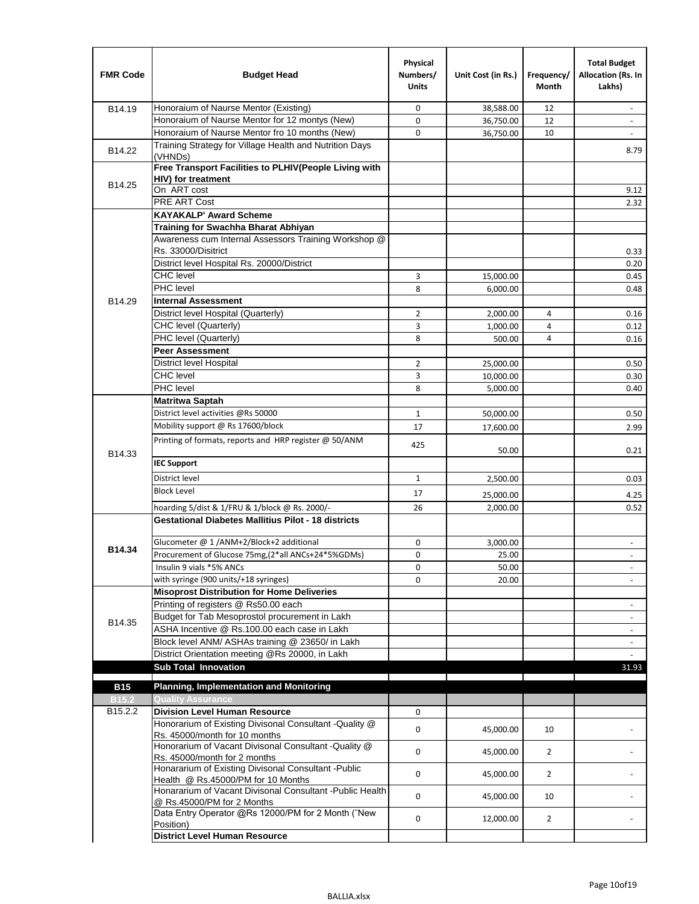| <b>FMR Code</b>   | <b>Budget Head</b>                                                                                           | Physical<br>Numbers/<br><b>Units</b> | Unit Cost (in Rs.) | Frequency/<br><b>Month</b> | <b>Total Budget</b><br>Allocation (Rs. In<br>Lakhs) |
|-------------------|--------------------------------------------------------------------------------------------------------------|--------------------------------------|--------------------|----------------------------|-----------------------------------------------------|
| B14.19            | Honoraium of Naurse Mentor (Existing)                                                                        | 0                                    | 38,588.00          | 12                         | $\sim$                                              |
|                   | Honoraium of Naurse Mentor for 12 montys (New)                                                               | 0                                    | 36,750.00          | 12                         |                                                     |
|                   | Honoraium of Naurse Mentor fro 10 months (New)                                                               | 0                                    | 36,750.00          | 10                         | $\sim$                                              |
| B14.22            | Training Strategy for Village Health and Nutrition Days<br>(VHNDs)                                           |                                      |                    |                            | 8.79                                                |
|                   | Free Transport Facilities to PLHIV(People Living with                                                        |                                      |                    |                            |                                                     |
| B14.25            | <b>HIV)</b> for treatment                                                                                    |                                      |                    |                            |                                                     |
|                   | On ART cost                                                                                                  |                                      |                    |                            | 9.12                                                |
|                   | PRE ART Cost                                                                                                 |                                      |                    |                            | 2.32                                                |
|                   | <b>KAYAKALP' Award Scheme</b>                                                                                |                                      |                    |                            |                                                     |
|                   | Training for Swachha Bharat Abhiyan                                                                          |                                      |                    |                            |                                                     |
|                   | Awareness cum Internal Assessors Training Workshop @<br>Rs. 33000/Disitrict                                  |                                      |                    |                            |                                                     |
|                   | District level Hospital Rs. 20000/District                                                                   |                                      |                    |                            | 0.33<br>0.20                                        |
|                   | <b>CHC</b> level                                                                                             | 3                                    | 15,000.00          |                            | 0.45                                                |
|                   | <b>PHC</b> level                                                                                             | 8                                    | 6,000.00           |                            | 0.48                                                |
| B14.29            | <b>Internal Assessment</b>                                                                                   |                                      |                    |                            |                                                     |
|                   | District level Hospital (Quarterly)                                                                          | $\overline{2}$                       | 2,000.00           | 4                          | 0.16                                                |
|                   | CHC level (Quarterly)                                                                                        | 3                                    | 1,000.00           | 4                          | 0.12                                                |
|                   | PHC level (Quarterly)                                                                                        | 8                                    | 500.00             | 4                          | 0.16                                                |
|                   | <b>Peer Assessment</b>                                                                                       |                                      |                    |                            |                                                     |
|                   | <b>District level Hospital</b>                                                                               | 2                                    | 25.000.00          |                            | 0.50                                                |
|                   | <b>CHC</b> level                                                                                             | 3                                    | 10,000.00          |                            | 0.30                                                |
|                   | PHC level                                                                                                    | 8                                    | 5,000.00           |                            | 0.40                                                |
|                   | Matritwa Saptah                                                                                              |                                      |                    |                            |                                                     |
|                   | District level activities @Rs 50000                                                                          | $\mathbf{1}$                         | 50,000.00          |                            | 0.50                                                |
|                   | Mobility support @ Rs 17600/block                                                                            | 17                                   | 17,600.00          |                            | 2.99                                                |
|                   | Printing of formats, reports and HRP register @ 50/ANM                                                       |                                      |                    |                            |                                                     |
| B14.33            |                                                                                                              | 425                                  | 50.00              |                            | 0.21                                                |
|                   | <b>IEC Support</b>                                                                                           |                                      |                    |                            |                                                     |
|                   | District level                                                                                               | $\mathbf{1}$                         | 2,500.00           |                            | 0.03                                                |
|                   | <b>Block Level</b>                                                                                           | 17                                   |                    |                            |                                                     |
|                   |                                                                                                              |                                      | 25,000.00          |                            | 4.25                                                |
|                   | hoarding 5/dist & 1/FRU & 1/block @ Rs. 2000/-<br><b>Gestational Diabetes Mallitius Pilot - 18 districts</b> | 26                                   | 2,000.00           |                            | 0.52                                                |
|                   |                                                                                                              |                                      |                    |                            |                                                     |
| B14.34            | Glucometer @ 1 /ANM+2/Block+2 additional                                                                     | 0                                    | 3,000.00           |                            | $\overline{\phantom{a}}$                            |
|                   | Procurement of Glucose 75mg, (2*all ANCs+24*5%GDMs)<br>Insulin 9 vials *5% ANCs                              | 0                                    | 25.00              |                            |                                                     |
|                   | with syringe (900 units/+18 syringes)                                                                        | 0<br>0                               | 50.00              |                            | $\blacksquare$                                      |
|                   | <b>Misoprost Distribution for Home Deliveries</b>                                                            |                                      | 20.00              |                            |                                                     |
|                   | Printing of registers @ Rs50.00 each                                                                         |                                      |                    |                            | $\overline{\phantom{a}}$                            |
|                   | Budget for Tab Mesoprostol procurement in Lakh                                                               |                                      |                    |                            | $\blacksquare$                                      |
| B14.35            | ASHA Incentive @ Rs.100.00 each case in Lakh                                                                 |                                      |                    |                            | $\overline{\phantom{a}}$                            |
|                   | Block level ANM/ ASHAs training @ 23650/ in Lakh                                                             |                                      |                    |                            | $\blacksquare$                                      |
|                   | District Orientation meeting @Rs 20000, in Lakh                                                              |                                      |                    |                            |                                                     |
|                   | <b>Sub Total Innovation</b>                                                                                  |                                      |                    |                            | 31.93                                               |
| <b>B15</b>        | <b>Planning, Implementation and Monitoring</b>                                                               |                                      |                    |                            |                                                     |
| B <sub>15.2</sub> | <b>Quality Assurance</b>                                                                                     |                                      |                    |                            |                                                     |
| B15.2.2           | <b>Division Level Human Resource</b>                                                                         | 0                                    |                    |                            |                                                     |
|                   | Honorarium of Existing Divisonal Consultant -Quality @<br>Rs. 45000/month for 10 months                      | 0                                    | 45,000.00          | 10                         |                                                     |
|                   | Honorarium of Vacant Divisonal Consultant -Quality @                                                         | 0                                    | 45,000.00          | $\overline{2}$             |                                                     |
|                   | Rs. 45000/month for 2 months<br>Honararium of Existing Divisonal Consultant - Public                         | 0                                    | 45,000.00          | $\overline{2}$             |                                                     |
|                   | Health @ Rs.45000/PM for 10 Months<br>Honararium of Vacant Divisonal Consultant - Public Health              | 0                                    | 45,000.00          | 10                         |                                                     |
|                   | @ Rs.45000/PM for 2 Months<br>Data Entry Operator @Rs 12000/PM for 2 Month ("New                             | 0                                    | 12,000.00          | $\overline{2}$             |                                                     |
|                   | Position)<br><b>District Level Human Resource</b>                                                            |                                      |                    |                            |                                                     |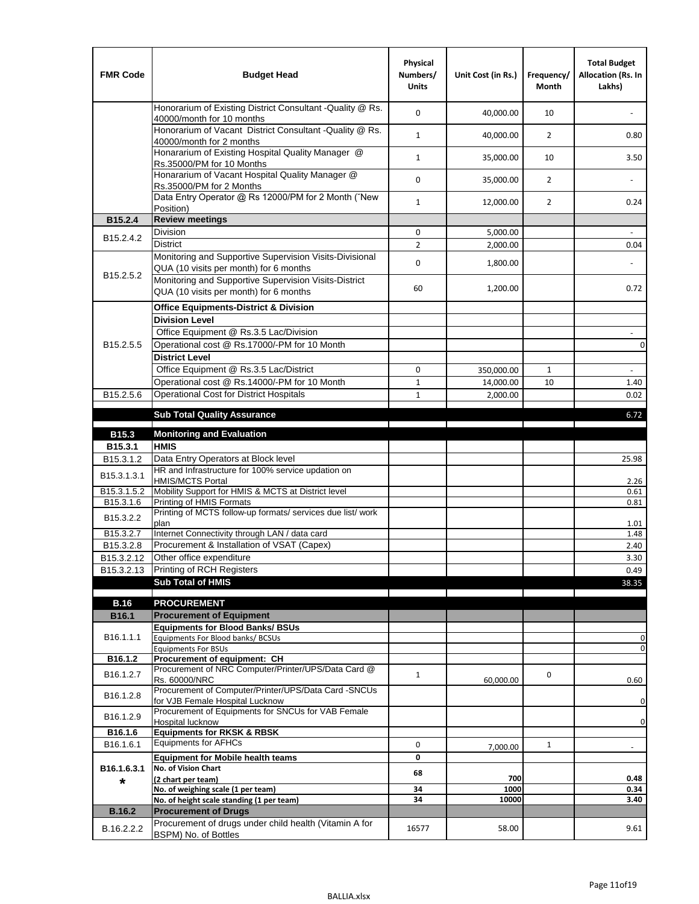| <b>FMR Code</b>         | <b>Budget Head</b>                                                                                | Physical<br>Numbers/<br><b>Units</b> | Unit Cost (in Rs.) | Frequency/<br><b>Month</b> | <b>Total Budget</b><br>Allocation (Rs. In<br>Lakhs) |
|-------------------------|---------------------------------------------------------------------------------------------------|--------------------------------------|--------------------|----------------------------|-----------------------------------------------------|
|                         | Honorarium of Existing District Consultant -Quality @ Rs.<br>40000/month for 10 months            | $\mathbf 0$                          | 40,000.00          | 10                         |                                                     |
|                         | Honorarium of Vacant District Consultant -Quality @ Rs.<br>40000/month for 2 months               | $\mathbf{1}$                         | 40,000.00          | $\overline{2}$             | 0.80                                                |
|                         | Honararium of Existing Hospital Quality Manager @<br>Rs.35000/PM for 10 Months                    | $\mathbf{1}$                         | 35,000.00          | 10                         | 3.50                                                |
|                         | Honararium of Vacant Hospital Quality Manager @<br>Rs.35000/PM for 2 Months                       | $\mathbf 0$                          | 35,000.00          | $\overline{2}$             |                                                     |
|                         | Data Entry Operator @ Rs 12000/PM for 2 Month ("New<br>Position)                                  | $\mathbf{1}$                         | 12,000.00          | $\overline{2}$             | 0.24                                                |
| B15.2.4                 | <b>Review meetings</b>                                                                            |                                      |                    |                            |                                                     |
| B <sub>15.2</sub> .4.2  | Division                                                                                          | 0                                    | 5,000.00           |                            |                                                     |
|                         | <b>District</b>                                                                                   | $\overline{2}$                       | 2,000.00           |                            | 0.04                                                |
|                         | Monitoring and Supportive Supervision Visits-Divisional<br>QUA (10 visits per month) for 6 months | $\mathbf 0$                          | 1,800.00           |                            |                                                     |
| B15.2.5.2               | Monitoring and Supportive Supervision Visits-District<br>QUA (10 visits per month) for 6 months   | 60                                   | 1,200.00           |                            | 0.72                                                |
|                         | <b>Office Equipments-District &amp; Division</b>                                                  |                                      |                    |                            |                                                     |
|                         | <b>Division Level</b>                                                                             |                                      |                    |                            |                                                     |
|                         | Office Equipment @ Rs.3.5 Lac/Division                                                            |                                      |                    |                            | $\sim$                                              |
| B15.2.5.5               | Operational cost @ Rs.17000/-PM for 10 Month                                                      |                                      |                    |                            | $\pmb{0}$                                           |
|                         | <b>District Level</b>                                                                             |                                      |                    |                            |                                                     |
|                         | Office Equipment @ Rs.3.5 Lac/District                                                            | 0                                    | 350,000.00         | 1                          | $\blacksquare$                                      |
|                         | Operational cost @ Rs.14000/-PM for 10 Month                                                      | $1\,$                                | 14,000.00          | 10                         | 1.40                                                |
| B15.2.5.6               | <b>Operational Cost for District Hospitals</b>                                                    | $\mathbf{1}$                         | 2,000.00           |                            | 0.02                                                |
|                         | <b>Sub Total Quality Assurance</b>                                                                |                                      |                    |                            | 6.72                                                |
| B15.3                   | <b>Monitoring and Evaluation</b>                                                                  |                                      |                    |                            |                                                     |
| B15.3.1                 | <b>HMIS</b>                                                                                       |                                      |                    |                            |                                                     |
| B15.3.1.2               | Data Entry Operators at Block level                                                               |                                      |                    |                            | 25.98                                               |
| B15.3.1.3.1             | HR and Infrastructure for 100% service updation on<br><b>HMIS/MCTS Portal</b>                     |                                      |                    |                            | 2.26                                                |
| B <sub>15.3.1.5.2</sub> | Mobility Support for HMIS & MCTS at District level                                                |                                      |                    |                            | 0.61                                                |
| B15.3.1.6               | Printing of HMIS Formats<br>Printing of MCTS follow-up formats/ services due list/ work           |                                      |                    |                            | 0.81                                                |
| B15.3.2.2               | plan                                                                                              |                                      |                    |                            | 1.01                                                |
| B15.3.2.7               | Internet Connectivity through LAN / data card                                                     |                                      |                    |                            | 1.48                                                |
| B15.3.2.8               | Procurement & Installation of VSAT (Capex)                                                        |                                      |                    |                            | 2.40                                                |
| B15.3.2.12              | Other office expenditure                                                                          |                                      |                    |                            | 3.30                                                |
| B15.3.2.13              | Printing of RCH Registers                                                                         |                                      |                    |                            | 0.49                                                |
|                         | <b>Sub Total of HMIS</b>                                                                          |                                      |                    |                            | 38.35                                               |
| <b>B.16</b>             | <b>PROCUREMENT</b>                                                                                |                                      |                    |                            |                                                     |
| B16.1                   | <b>Procurement of Equipment</b>                                                                   |                                      |                    |                            |                                                     |
|                         | <b>Equipments for Blood Banks/ BSUs</b>                                                           |                                      |                    |                            |                                                     |
| B16.1.1.1               | Equipments For Blood banks/ BCSUs                                                                 |                                      |                    |                            | 0                                                   |
| B16.1.2                 | <b>Equipments For BSUs</b><br>Procurement of equipment: CH                                        |                                      |                    |                            | 0                                                   |
|                         | Procurement of NRC Computer/Printer/UPS/Data Card @                                               |                                      |                    |                            |                                                     |
| B16.1.2.7               | Rs. 60000/NRC                                                                                     | $\mathbf{1}$                         | 60,000.00          | 0                          | 0.60                                                |
| B16.1.2.8               | Procurement of Computer/Printer/UPS/Data Card -SNCUs                                              |                                      |                    |                            |                                                     |
|                         | for VJB Female Hospital Lucknow<br>Procurement of Equipments for SNCUs for VAB Female             |                                      |                    |                            | 0                                                   |
| B16.1.2.9               | Hospital lucknow                                                                                  |                                      |                    |                            | $\mathbf 0$                                         |
| B16.1.6                 | <b>Equipments for RKSK &amp; RBSK</b>                                                             |                                      |                    |                            |                                                     |
| B16.1.6.1               | <b>Equipments for AFHCs</b>                                                                       | 0                                    | 7,000.00           | $\mathbf{1}$               | ÷,                                                  |
|                         | <b>Equipment for Mobile health teams</b>                                                          | 0                                    |                    |                            |                                                     |
| B16.1.6.3.1<br>*        | No. of Vision Chart<br>(2 chart per team)                                                         | 68                                   | 700                |                            | 0.48                                                |
|                         | No. of weighing scale (1 per team)                                                                | 34                                   | 1000               |                            | 0.34                                                |
|                         | No. of height scale standing (1 per team)                                                         | 34                                   | 10000              |                            | 3.40                                                |
| <b>B.16.2</b>           | <b>Procurement of Drugs</b>                                                                       |                                      |                    |                            |                                                     |
| B.16.2.2.2              | Procurement of drugs under child health (Vitamin A for<br>BSPM) No. of Bottles                    | 16577                                | 58.00              |                            | 9.61                                                |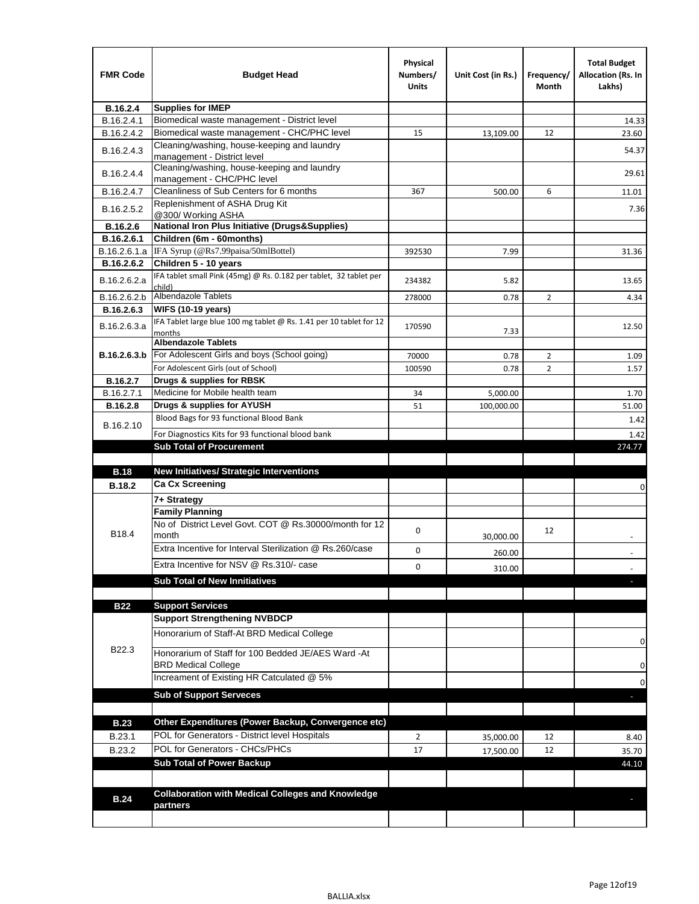| <b>FMR Code</b> | <b>Budget Head</b>                                                            | Physical<br>Numbers/<br><b>Units</b> | Unit Cost (in Rs.) | Frequency/<br>Month | <b>Total Budget</b><br><b>Allocation (Rs. In</b><br>Lakhs) |
|-----------------|-------------------------------------------------------------------------------|--------------------------------------|--------------------|---------------------|------------------------------------------------------------|
| B.16.2.4        | <b>Supplies for IMEP</b>                                                      |                                      |                    |                     |                                                            |
| B.16.2.4.1      | Biomedical waste management - District level                                  |                                      |                    |                     | 14.33                                                      |
| B.16.2.4.2      | Biomedical waste management - CHC/PHC level                                   | 15                                   | 13,109.00          | 12                  | 23.60                                                      |
| B.16.2.4.3      | Cleaning/washing, house-keeping and laundry<br>management - District level    |                                      |                    |                     | 54.37                                                      |
| B.16.2.4.4      | Cleaning/washing, house-keeping and laundry<br>management - CHC/PHC level     |                                      |                    |                     | 29.61                                                      |
| B.16.2.4.7      | Cleanliness of Sub Centers for 6 months                                       | 367                                  | 500.00             | 6                   | 11.01                                                      |
| B.16.2.5.2      | Replenishment of ASHA Drug Kit<br>@300/ Working ASHA                          |                                      |                    |                     | 7.36                                                       |
| B.16.2.6        | <b>National Iron Plus Initiative (Drugs&amp;Supplies)</b>                     |                                      |                    |                     |                                                            |
| B.16.2.6.1      | Children (6m - 60months)                                                      |                                      |                    |                     |                                                            |
| B.16.2.6.1.a    | IFA Syrup (@Rs7.99paisa/50mlBottel)                                           | 392530                               | 7.99               |                     | 31.36                                                      |
| B.16.2.6.2      | Children 5 - 10 years                                                         |                                      |                    |                     |                                                            |
| B.16.2.6.2.a    | IFA tablet small Pink (45mg) @ Rs. 0.182 per tablet, 32 tablet per<br>child)  | 234382                               | 5.82               |                     | 13.65                                                      |
| B.16.2.6.2.b    | <b>Albendazole Tablets</b>                                                    | 278000                               | 0.78               | 2                   | 4.34                                                       |
| B.16.2.6.3      | <b>WIFS (10-19 years)</b>                                                     |                                      |                    |                     |                                                            |
| B.16.2.6.3.a    | IFA Tablet large blue 100 mg tablet @ Rs. 1.41 per 10 tablet for 12<br>months | 170590                               | 7.33               |                     | 12.50                                                      |
|                 | <b>Albendazole Tablets</b>                                                    |                                      |                    |                     |                                                            |
| B.16.2.6.3.b    | For Adolescent Girls and boys (School going)                                  | 70000                                | 0.78               | $\overline{2}$      | 1.09                                                       |
|                 | For Adolescent Girls (out of School)                                          | 100590                               | 0.78               | $\overline{2}$      | 1.57                                                       |
| B.16.2.7        | Drugs & supplies for RBSK                                                     |                                      |                    |                     |                                                            |
| B.16.2.7.1      | Medicine for Mobile health team                                               | 34                                   | 5,000.00           |                     | 1.70                                                       |
| <b>B.16.2.8</b> | Drugs & supplies for AYUSH<br>Blood Bags for 93 functional Blood Bank         | 51                                   | 100,000.00         |                     | 51.00                                                      |
| B.16.2.10       |                                                                               |                                      |                    |                     | 1.42                                                       |
|                 | For Diagnostics Kits for 93 functional blood bank                             |                                      |                    |                     | 1.42                                                       |
|                 | <b>Sub Total of Procurement</b>                                               |                                      |                    |                     | 274.77                                                     |
| <b>B.18</b>     | <b>New Initiatives/ Strategic Interventions</b>                               |                                      |                    |                     |                                                            |
| <b>B.18.2</b>   | <b>Ca Cx Screening</b>                                                        |                                      |                    |                     |                                                            |
|                 |                                                                               |                                      |                    |                     | 0                                                          |
|                 | 7+ Strategy<br><b>Family Planning</b>                                         |                                      |                    |                     |                                                            |
| B18.4           | No of District Level Govt. COT @ Rs.30000/month for 12<br>month               | 0                                    |                    | 12                  |                                                            |
|                 | Extra Incentive for Interval Sterilization @ Rs.260/case                      |                                      | 30,000.00          |                     |                                                            |
|                 |                                                                               | 0                                    | 260.00             |                     |                                                            |
|                 | Extra Incentive for NSV @ Rs.310/- case                                       | 0                                    | 310.00             |                     |                                                            |
|                 | <b>Sub Total of New Innitiatives</b>                                          |                                      |                    |                     |                                                            |
|                 |                                                                               |                                      |                    |                     |                                                            |
| <b>B22</b>      | <b>Support Services</b><br><b>Support Strengthening NVBDCP</b>                |                                      |                    |                     |                                                            |
|                 | Honorarium of Staff-At BRD Medical College                                    |                                      |                    |                     |                                                            |
| B22.3           | Honorarium of Staff for 100 Bedded JE/AES Ward -At                            |                                      |                    |                     | 0                                                          |
|                 | <b>BRD Medical College</b><br>Increament of Existing HR Catculated @ 5%       |                                      |                    |                     | 0                                                          |
|                 | <b>Sub of Support Serveces</b>                                                |                                      |                    |                     | 0                                                          |
|                 |                                                                               |                                      |                    |                     |                                                            |
| <b>B.23</b>     | Other Expenditures (Power Backup, Convergence etc)                            |                                      |                    |                     |                                                            |
|                 | POL for Generators - District level Hospitals                                 |                                      |                    |                     |                                                            |
| B.23.1          | POL for Generators - CHCs/PHCs                                                | $\overline{2}$                       | 35,000.00          | 12                  | 8.40                                                       |
| B.23.2          | <b>Sub Total of Power Backup</b>                                              | 17                                   | 17,500.00          | 12                  | 35.70                                                      |
|                 |                                                                               |                                      |                    |                     | 44.10                                                      |
|                 | <b>Collaboration with Medical Colleges and Knowledge</b>                      |                                      |                    |                     |                                                            |
| <b>B.24</b>     | partners                                                                      |                                      |                    |                     |                                                            |
|                 |                                                                               |                                      |                    |                     |                                                            |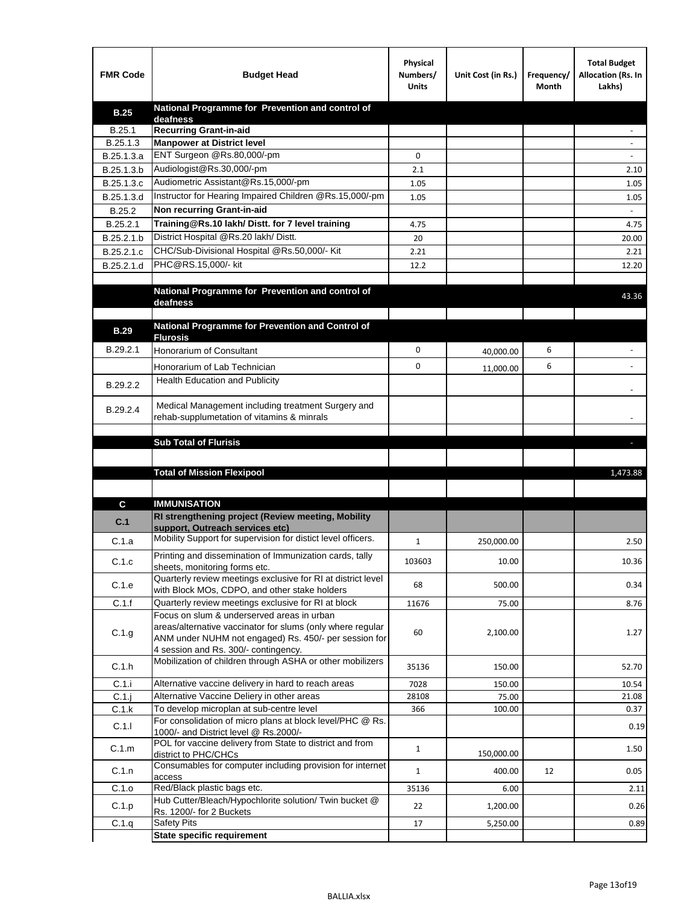| <b>FMR Code</b> | <b>Budget Head</b>                                                                                    | Physical<br>Numbers/<br><b>Units</b> | Unit Cost (in Rs.) | Frequency/<br>Month | <b>Total Budget</b><br>Allocation (Rs. In<br>Lakhs) |
|-----------------|-------------------------------------------------------------------------------------------------------|--------------------------------------|--------------------|---------------------|-----------------------------------------------------|
| <b>B.25</b>     | National Programme for Prevention and control of                                                      |                                      |                    |                     |                                                     |
| B.25.1          | deafness<br><b>Recurring Grant-in-aid</b>                                                             |                                      |                    |                     |                                                     |
| B.25.1.3        | <b>Manpower at District level</b>                                                                     |                                      |                    |                     |                                                     |
| B.25.1.3.a      | ENT Surgeon @Rs.80,000/-pm                                                                            | 0                                    |                    |                     |                                                     |
| B.25.1.3.b      | Audiologist@Rs.30,000/-pm                                                                             | 2.1                                  |                    |                     | 2.10                                                |
| B.25.1.3.c      | Audiometric Assistant@Rs.15,000/-pm                                                                   | 1.05                                 |                    |                     | 1.05                                                |
| B.25.1.3.d      | Instructor for Hearing Impaired Children @Rs.15,000/-pm                                               | 1.05                                 |                    |                     | 1.05                                                |
| B.25.2          | Non recurring Grant-in-aid                                                                            |                                      |                    |                     |                                                     |
| B.25.2.1        | Training@Rs.10 lakh/ Distt. for 7 level training                                                      | 4.75                                 |                    |                     | 4.75                                                |
| B.25.2.1.b      | District Hospital @Rs.20 lakh/Distt.                                                                  | 20                                   |                    |                     | 20.00                                               |
| B.25.2.1.c      | CHC/Sub-Divisional Hospital @Rs.50,000/- Kit                                                          | 2.21                                 |                    |                     | 2.21                                                |
| B.25.2.1.d      | PHC@RS.15,000/- kit                                                                                   | 12.2                                 |                    |                     | 12.20                                               |
|                 |                                                                                                       |                                      |                    |                     |                                                     |
|                 | National Programme for Prevention and control of<br>deafness                                          |                                      |                    |                     | 43.36                                               |
|                 |                                                                                                       |                                      |                    |                     |                                                     |
| <b>B.29</b>     | National Programme for Prevention and Control of                                                      |                                      |                    |                     |                                                     |
|                 | <b>Flurosis</b>                                                                                       |                                      |                    |                     |                                                     |
| B.29.2.1        | Honorarium of Consultant                                                                              | 0                                    | 40,000.00          | 6                   |                                                     |
|                 | Honorarium of Lab Technician                                                                          | 0                                    | 11,000.00          | 6                   |                                                     |
| B.29.2.2        | <b>Health Education and Publicity</b>                                                                 |                                      |                    |                     |                                                     |
|                 |                                                                                                       |                                      |                    |                     |                                                     |
| B.29.2.4        | Medical Management including treatment Surgery and<br>rehab-supplumetation of vitamins & minrals      |                                      |                    |                     |                                                     |
|                 |                                                                                                       |                                      |                    |                     |                                                     |
|                 | <b>Sub Total of Flurisis</b>                                                                          |                                      |                    |                     | ь                                                   |
|                 |                                                                                                       |                                      |                    |                     |                                                     |
|                 | <b>Total of Mission Flexipool</b>                                                                     |                                      |                    |                     | 1,473.88                                            |
|                 |                                                                                                       |                                      |                    |                     |                                                     |
| C               | <b>IMMUNISATION</b>                                                                                   |                                      |                    |                     |                                                     |
| C.1             | RI strengthening project (Review meeting, Mobility                                                    |                                      |                    |                     |                                                     |
|                 | support, Outreach services etc)                                                                       |                                      |                    |                     |                                                     |
| C.1.a           | Mobility Support for supervision for distict level officers.                                          | $\mathbf{1}$                         | 250,000.00         |                     | 2.50                                                |
| C.1.c           | Printing and dissemination of Immunization cards, tally                                               | 103603                               | 10.00              |                     | 10.36                                               |
|                 | sheets, monitoring forms etc.<br>Quarterly review meetings exclusive for RI at district level         |                                      |                    |                     |                                                     |
| C.1.e           | with Block MOs, CDPO, and other stake holders                                                         | 68                                   | 500.00             |                     | 0.34                                                |
| C.1.f           | Quarterly review meetings exclusive for RI at block                                                   | 11676                                | 75.00              |                     | 8.76                                                |
|                 | Focus on slum & underserved areas in urban                                                            |                                      |                    |                     |                                                     |
| C.1.g           | areas/alternative vaccinator for slums (only where regular                                            | 60                                   | 2,100.00           |                     | 1.27                                                |
|                 | ANM under NUHM not engaged) Rs. 450/- per session for<br>4 session and Rs. 300/- contingency.         |                                      |                    |                     |                                                     |
|                 | Mobilization of children through ASHA or other mobilizers                                             |                                      |                    |                     |                                                     |
| C.1.h           |                                                                                                       | 35136                                | 150.00             |                     | 52.70                                               |
| C.1.i           | Alternative vaccine delivery in hard to reach areas                                                   | 7028                                 | 150.00             |                     | 10.54                                               |
| $C.1$ .j        | Alternative Vaccine Deliery in other areas                                                            | 28108                                | 75.00              |                     | 21.08                                               |
| C.1.k           | To develop microplan at sub-centre level<br>For consolidation of micro plans at block level/PHC @ Rs. | 366                                  | 100.00             |                     | 0.37                                                |
| C.1.1           | 1000/- and District level @ Rs.2000/-                                                                 |                                      |                    |                     | 0.19                                                |
| C.1.m           | POL for vaccine delivery from State to district and from                                              | $\mathbf{1}$                         |                    |                     | 1.50                                                |
|                 | district to PHC/CHCs<br>Consumables for computer including provision for internet                     |                                      | 150,000.00         |                     |                                                     |
| C.1.n           | access                                                                                                | $\mathbf{1}$                         | 400.00             | 12                  | 0.05                                                |
| C.1.o           | Red/Black plastic bags etc.                                                                           | 35136                                | 6.00               |                     | 2.11                                                |
| C.1.p           | Hub Cutter/Bleach/Hypochlorite solution/ Twin bucket @                                                | 22                                   | 1,200.00           |                     | 0.26                                                |
|                 | Rs. 1200/- for 2 Buckets<br><b>Safety Pits</b>                                                        | 17                                   | 5,250.00           |                     | 0.89                                                |
| C.1.q           | <b>State specific requirement</b>                                                                     |                                      |                    |                     |                                                     |
|                 |                                                                                                       |                                      |                    |                     |                                                     |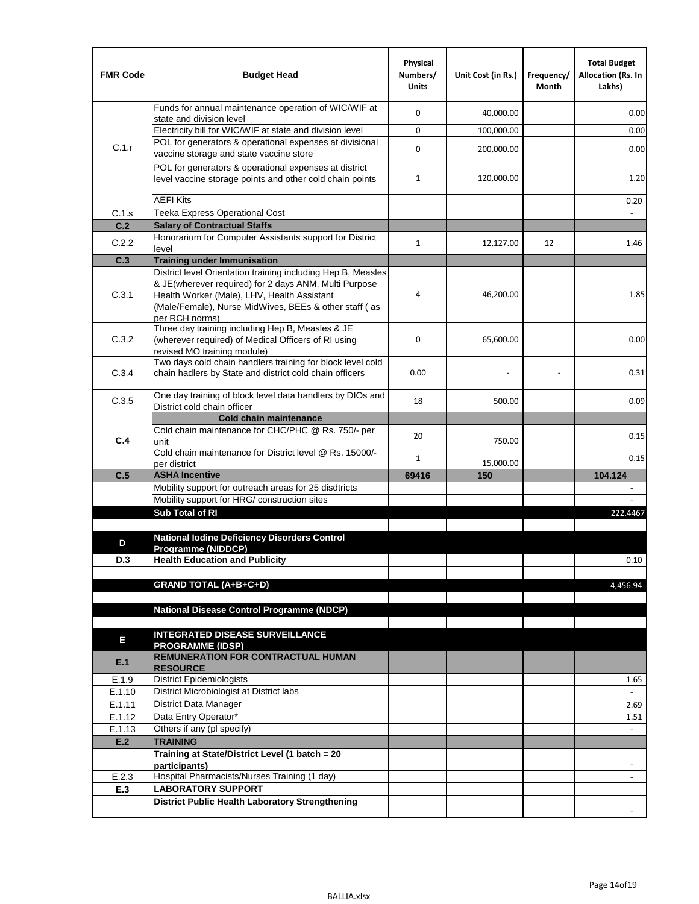| <b>FMR Code</b> | <b>Budget Head</b>                                                                                                                                                              | Physical<br>Numbers/<br><b>Units</b> | Unit Cost (in Rs.) | Frequency/<br>Month | <b>Total Budget</b><br><b>Allocation (Rs. In</b><br>Lakhs) |
|-----------------|---------------------------------------------------------------------------------------------------------------------------------------------------------------------------------|--------------------------------------|--------------------|---------------------|------------------------------------------------------------|
|                 | Funds for annual maintenance operation of WIC/WIF at<br>state and division level                                                                                                | $\mathbf 0$                          | 40,000.00          |                     | 0.00                                                       |
|                 | Electricity bill for WIC/WIF at state and division level                                                                                                                        | $\mathbf 0$                          | 100,000.00         |                     | 0.00                                                       |
| C.1.r           | POL for generators & operational expenses at divisional                                                                                                                         | $\mathbf 0$                          |                    |                     |                                                            |
|                 | vaccine storage and state vaccine store                                                                                                                                         |                                      | 200,000.00         |                     | 0.00                                                       |
|                 | POL for generators & operational expenses at district<br>level vaccine storage points and other cold chain points                                                               | $\mathbf{1}$                         | 120,000.00         |                     | 1.20                                                       |
|                 | <b>AEFI Kits</b>                                                                                                                                                                |                                      |                    |                     | 0.20                                                       |
| C.1.s           | Teeka Express Operational Cost                                                                                                                                                  |                                      |                    |                     |                                                            |
| C.2             | <b>Salary of Contractual Staffs</b>                                                                                                                                             |                                      |                    |                     |                                                            |
| C.2.2           | Honorarium for Computer Assistants support for District<br>level                                                                                                                | $\mathbf{1}$                         | 12,127.00          | 12                  | 1.46                                                       |
| C.3             | <b>Training under Immunisation</b>                                                                                                                                              |                                      |                    |                     |                                                            |
|                 | District level Orientation training including Hep B, Measles                                                                                                                    |                                      |                    |                     |                                                            |
| C.3.1           | & JE(wherever required) for 2 days ANM, Multi Purpose<br>Health Worker (Male), LHV, Health Assistant<br>(Male/Female), Nurse MidWives, BEEs & other staff (as<br>per RCH norms) | 4                                    | 46,200.00          |                     | 1.85                                                       |
| C.3.2           | Three day training including Hep B, Measles & JE<br>(wherever required) of Medical Officers of RI using<br>revised MO training module)                                          | $\mathbf 0$                          | 65,600.00          |                     | 0.00                                                       |
| C.3.4           | Two days cold chain handlers training for block level cold<br>chain hadlers by State and district cold chain officers                                                           | 0.00                                 |                    |                     | 0.31                                                       |
| C.3.5           | One day training of block level data handlers by DIOs and<br>District cold chain officer                                                                                        | 18                                   | 500.00             |                     | 0.09                                                       |
|                 | <b>Cold chain maintenance</b>                                                                                                                                                   |                                      |                    |                     |                                                            |
|                 | Cold chain maintenance for CHC/PHC @ Rs. 750/- per                                                                                                                              | 20                                   |                    |                     | 0.15                                                       |
| C.4             | unit                                                                                                                                                                            |                                      | 750.00             |                     |                                                            |
|                 | Cold chain maintenance for District level @ Rs. 15000/-<br>per district                                                                                                         | $\mathbf{1}$                         | 15,000.00          |                     | 0.15                                                       |
| C.5             | <b>ASHA Incentive</b>                                                                                                                                                           | 69416                                | 150                |                     | 104.124                                                    |
|                 | Mobility support for outreach areas for 25 disdtricts                                                                                                                           |                                      |                    |                     |                                                            |
|                 | Mobility support for HRG/ construction sites                                                                                                                                    |                                      |                    |                     |                                                            |
|                 | Sub Total of RI                                                                                                                                                                 |                                      |                    |                     | 222.4467                                                   |
|                 | <b>National Iodine Deficiency Disorders Control</b>                                                                                                                             |                                      |                    |                     |                                                            |
| D               | Programme (NIDDCP)                                                                                                                                                              |                                      |                    |                     |                                                            |
| D.3             | <b>Health Education and Publicity</b>                                                                                                                                           |                                      |                    |                     | 0.10                                                       |
|                 |                                                                                                                                                                                 |                                      |                    |                     |                                                            |
|                 | <b>GRAND TOTAL (A+B+C+D)</b>                                                                                                                                                    |                                      |                    |                     | 4,456.94                                                   |
|                 | <b>National Disease Control Programme (NDCP)</b>                                                                                                                                |                                      |                    |                     |                                                            |
|                 |                                                                                                                                                                                 |                                      |                    |                     |                                                            |
|                 | <b>INTEGRATED DISEASE SURVEILLANCE</b>                                                                                                                                          |                                      |                    |                     |                                                            |
| Е               | <b>PROGRAMME (IDSP)</b>                                                                                                                                                         |                                      |                    |                     |                                                            |
| E.1             | <b>REMUNERATION FOR CONTRACTUAL HUMAN</b>                                                                                                                                       |                                      |                    |                     |                                                            |
| E.1.9           | <b>RESOURCE</b><br>District Epidemiologists                                                                                                                                     |                                      |                    |                     | 1.65                                                       |
| E.1.10          | District Microbiologist at District labs                                                                                                                                        |                                      |                    |                     |                                                            |
| E.1.11          | District Data Manager                                                                                                                                                           |                                      |                    |                     | 2.69                                                       |
| E.1.12          | Data Entry Operator*                                                                                                                                                            |                                      |                    |                     | 1.51                                                       |
| E.1.13          | Others if any (pl specify)                                                                                                                                                      |                                      |                    |                     | $\omega$                                                   |
| E.2             | <b>TRAINING</b>                                                                                                                                                                 |                                      |                    |                     |                                                            |
|                 | Training at State/District Level (1 batch = 20<br>participants)                                                                                                                 |                                      |                    |                     |                                                            |
| E.2.3           | Hospital Pharmacists/Nurses Training (1 day)                                                                                                                                    |                                      |                    |                     |                                                            |
| E.3             | <b>LABORATORY SUPPORT</b>                                                                                                                                                       |                                      |                    |                     |                                                            |
|                 | <b>District Public Health Laboratory Strengthening</b>                                                                                                                          |                                      |                    |                     |                                                            |
|                 |                                                                                                                                                                                 |                                      |                    |                     |                                                            |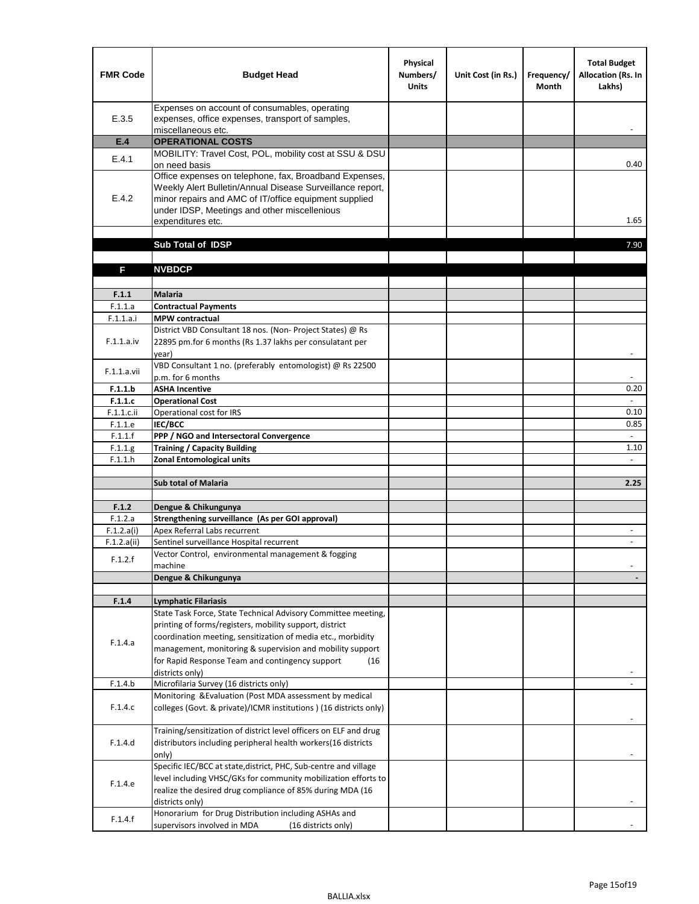| <b>FMR Code</b>       | <b>Budget Head</b>                                                                                                                                                                                                                                | Physical<br>Numbers/<br><b>Units</b> | Unit Cost (in Rs.) | Frequency/<br><b>Month</b> | <b>Total Budget</b><br>Allocation (Rs. In<br>Lakhs) |
|-----------------------|---------------------------------------------------------------------------------------------------------------------------------------------------------------------------------------------------------------------------------------------------|--------------------------------------|--------------------|----------------------------|-----------------------------------------------------|
| E.3.5                 | Expenses on account of consumables, operating<br>expenses, office expenses, transport of samples,<br>miscellaneous etc.                                                                                                                           |                                      |                    |                            |                                                     |
| E.4                   | <b>OPERATIONAL COSTS</b>                                                                                                                                                                                                                          |                                      |                    |                            |                                                     |
| E.4.1                 | MOBILITY: Travel Cost, POL, mobility cost at SSU & DSU<br>on need basis                                                                                                                                                                           |                                      |                    |                            | 0.40                                                |
| E.4.2                 | Office expenses on telephone, fax, Broadband Expenses,<br>Weekly Alert Bulletin/Annual Disease Surveillance report,<br>minor repairs and AMC of IT/office equipment supplied<br>under IDSP, Meetings and other miscellenious<br>expenditures etc. |                                      |                    |                            | 1.65                                                |
|                       | Sub Total of IDSP                                                                                                                                                                                                                                 |                                      |                    |                            | 7.90                                                |
|                       |                                                                                                                                                                                                                                                   |                                      |                    |                            |                                                     |
| F                     | <b>NVBDCP</b>                                                                                                                                                                                                                                     |                                      |                    |                            |                                                     |
|                       |                                                                                                                                                                                                                                                   |                                      |                    |                            |                                                     |
| F.1.1<br>F.1.1.a      | Malaria<br><b>Contractual Payments</b>                                                                                                                                                                                                            |                                      |                    |                            |                                                     |
| F.1.1.a.i             | <b>MPW</b> contractual                                                                                                                                                                                                                            |                                      |                    |                            |                                                     |
|                       | District VBD Consultant 18 nos. (Non-Project States) @ Rs                                                                                                                                                                                         |                                      |                    |                            |                                                     |
| F.1.1.a.iv            | 22895 pm.for 6 months (Rs 1.37 lakhs per consulatant per<br>year)                                                                                                                                                                                 |                                      |                    |                            | $\blacksquare$                                      |
| F.1.1.a.vii           | VBD Consultant 1 no. (preferably entomologist) @ Rs 22500                                                                                                                                                                                         |                                      |                    |                            |                                                     |
|                       | p.m. for 6 months                                                                                                                                                                                                                                 |                                      |                    |                            |                                                     |
| F.1.1.b               | <b>ASHA Incentive</b>                                                                                                                                                                                                                             |                                      |                    |                            | 0.20                                                |
| F.1.1.c               | <b>Operational Cost</b>                                                                                                                                                                                                                           |                                      |                    |                            | $\overline{\phantom{a}}$                            |
| F.1.1.c.ii<br>F.1.1.e | Operational cost for IRS<br>IEC/BCC                                                                                                                                                                                                               |                                      |                    |                            | 0.10<br>0.85                                        |
| F.1.1.f               | PPP / NGO and Intersectoral Convergence                                                                                                                                                                                                           |                                      |                    |                            | $\mathbf{r}$                                        |
| F.1.1.g               | <b>Training / Capacity Building</b>                                                                                                                                                                                                               |                                      |                    |                            | 1.10                                                |
| F.1.1.h               | <b>Zonal Entomological units</b>                                                                                                                                                                                                                  |                                      |                    |                            |                                                     |
|                       |                                                                                                                                                                                                                                                   |                                      |                    |                            |                                                     |
|                       | <b>Sub total of Malaria</b>                                                                                                                                                                                                                       |                                      |                    |                            | 2.25                                                |
|                       |                                                                                                                                                                                                                                                   |                                      |                    |                            |                                                     |
| F.1.2<br>F.1.2.a      | Dengue & Chikungunya<br>Strengthening surveillance (As per GOI approval)                                                                                                                                                                          |                                      |                    |                            |                                                     |
| F.1.2.a(i)            | Apex Referral Labs recurrent                                                                                                                                                                                                                      |                                      |                    |                            | $\overline{\phantom{a}}$                            |
| F.1.2.a(ii)           | Sentinel surveillance Hospital recurrent                                                                                                                                                                                                          |                                      |                    |                            |                                                     |
|                       | Vector Control, environmental management & fogging                                                                                                                                                                                                |                                      |                    |                            |                                                     |
| F.1.2.f               | machine                                                                                                                                                                                                                                           |                                      |                    |                            |                                                     |
|                       | Dengue & Chikungunya                                                                                                                                                                                                                              |                                      |                    |                            |                                                     |
|                       |                                                                                                                                                                                                                                                   |                                      |                    |                            |                                                     |
| F.1.4                 | <b>Lymphatic Filariasis</b><br>State Task Force, State Technical Advisory Committee meeting,                                                                                                                                                      |                                      |                    |                            |                                                     |
|                       | printing of forms/registers, mobility support, district                                                                                                                                                                                           |                                      |                    |                            |                                                     |
|                       | coordination meeting, sensitization of media etc., morbidity                                                                                                                                                                                      |                                      |                    |                            |                                                     |
| F.1.4.a               | management, monitoring & supervision and mobility support                                                                                                                                                                                         |                                      |                    |                            |                                                     |
|                       | for Rapid Response Team and contingency support<br>(16)                                                                                                                                                                                           |                                      |                    |                            |                                                     |
|                       | districts only)                                                                                                                                                                                                                                   |                                      |                    |                            |                                                     |
| F.1.4.b               | Microfilaria Survey (16 districts only)                                                                                                                                                                                                           |                                      |                    |                            |                                                     |
| F.1.4.c               | Monitoring & Evaluation (Post MDA assessment by medical<br>colleges (Govt. & private)/ICMR institutions ) (16 districts only)                                                                                                                     |                                      |                    |                            |                                                     |
|                       |                                                                                                                                                                                                                                                   |                                      |                    |                            |                                                     |
| F.1.4.d               | Training/sensitization of district level officers on ELF and drug<br>distributors including peripheral health workers(16 districts                                                                                                                |                                      |                    |                            |                                                     |
|                       | only)                                                                                                                                                                                                                                             |                                      |                    |                            |                                                     |
|                       | Specific IEC/BCC at state, district, PHC, Sub-centre and village                                                                                                                                                                                  |                                      |                    |                            |                                                     |
|                       | level including VHSC/GKs for community mobilization efforts to                                                                                                                                                                                    |                                      |                    |                            |                                                     |
| F.1.4.e               | realize the desired drug compliance of 85% during MDA (16                                                                                                                                                                                         |                                      |                    |                            |                                                     |
|                       | districts only)                                                                                                                                                                                                                                   |                                      |                    |                            |                                                     |
| F.1.4.f               | Honorarium for Drug Distribution including ASHAs and                                                                                                                                                                                              |                                      |                    |                            |                                                     |
|                       | supervisors involved in MDA<br>(16 districts only)                                                                                                                                                                                                |                                      |                    |                            |                                                     |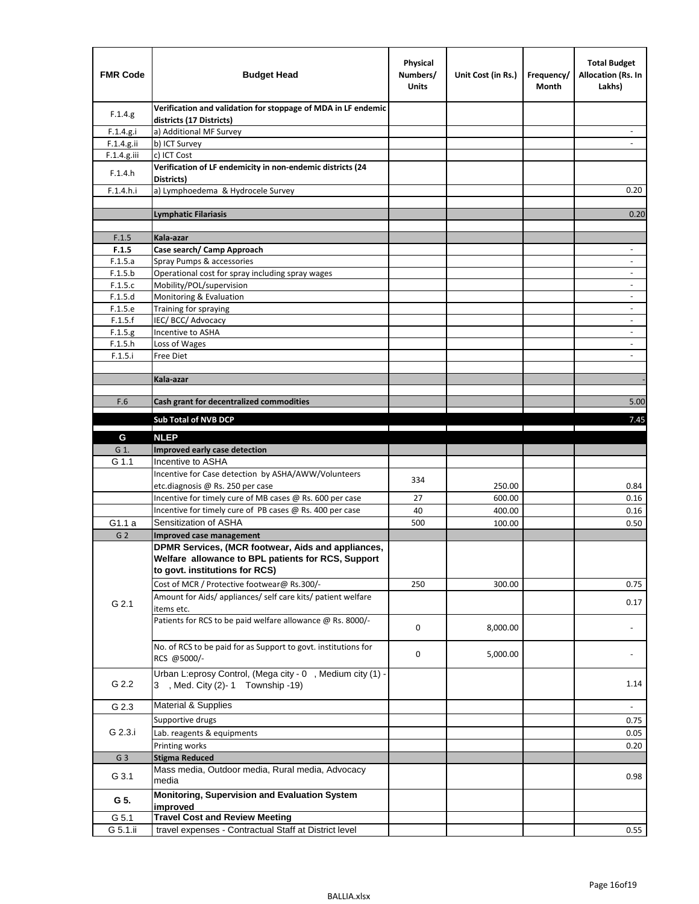| <b>FMR Code</b> | <b>Budget Head</b>                                                                                                                         | Physical<br>Numbers/<br><b>Units</b> | Unit Cost (in Rs.) | Frequency/<br>Month | <b>Total Budget</b><br><b>Allocation (Rs. In</b><br>Lakhs) |
|-----------------|--------------------------------------------------------------------------------------------------------------------------------------------|--------------------------------------|--------------------|---------------------|------------------------------------------------------------|
| F.1.4.g.        | Verification and validation for stoppage of MDA in LF endemic<br>districts (17 Districts)                                                  |                                      |                    |                     |                                                            |
| F.1.4.g.i       | a) Additional MF Survey                                                                                                                    |                                      |                    |                     |                                                            |
| F.1.4.g.ii      | b) ICT Survey                                                                                                                              |                                      |                    |                     |                                                            |
| $F.1.4.g.$ iii  | c) ICT Cost                                                                                                                                |                                      |                    |                     |                                                            |
| F.1.4.h         | Verification of LF endemicity in non-endemic districts (24<br>Districts)                                                                   |                                      |                    |                     |                                                            |
| F.1.4.h.i       | a) Lymphoedema & Hydrocele Survey                                                                                                          |                                      |                    |                     | 0.20                                                       |
|                 | <b>Lymphatic Filariasis</b>                                                                                                                |                                      |                    |                     | 0.20                                                       |
|                 |                                                                                                                                            |                                      |                    |                     |                                                            |
| F.1.5           | Kala-azar                                                                                                                                  |                                      |                    |                     |                                                            |
| F.1.5           | Case search/ Camp Approach                                                                                                                 |                                      |                    |                     | $\overline{\phantom{a}}$                                   |
| F.1.5.a         | Spray Pumps & accessories                                                                                                                  |                                      |                    |                     | $\overline{\phantom{a}}$                                   |
| F.1.5.b         | Operational cost for spray including spray wages                                                                                           |                                      |                    |                     |                                                            |
| F.1.5.c         | Mobility/POL/supervision                                                                                                                   |                                      |                    |                     | $\blacksquare$                                             |
| F.1.5.d         | Monitoring & Evaluation                                                                                                                    |                                      |                    |                     |                                                            |
| F.1.5.e         | Training for spraying                                                                                                                      |                                      |                    |                     | $\overline{\phantom{a}}$                                   |
| F.1.5.f         | IEC/BCC/Advocacy                                                                                                                           |                                      |                    |                     |                                                            |
| F.1.5.g         | Incentive to ASHA                                                                                                                          |                                      |                    |                     | $\overline{\phantom{a}}$                                   |
| F.1.5.h         | Loss of Wages                                                                                                                              |                                      |                    |                     | $\overline{\phantom{a}}$                                   |
| F.1.5.i         | Free Diet                                                                                                                                  |                                      |                    |                     |                                                            |
|                 | Kala-azar                                                                                                                                  |                                      |                    |                     |                                                            |
|                 |                                                                                                                                            |                                      |                    |                     |                                                            |
| F.6             | Cash grant for decentralized commodities                                                                                                   |                                      |                    |                     | 5.00                                                       |
|                 |                                                                                                                                            |                                      |                    |                     |                                                            |
|                 | <b>Sub Total of NVB DCP</b>                                                                                                                |                                      |                    |                     | 7.45                                                       |
| G               | <b>NLEP</b>                                                                                                                                |                                      |                    |                     |                                                            |
| G 1.            | Improved early case detection                                                                                                              |                                      |                    |                     |                                                            |
| G 1.1           | Incentive to ASHA                                                                                                                          |                                      |                    |                     |                                                            |
|                 | Incentive for Case detection by ASHA/AWW/Volunteers                                                                                        | 334                                  |                    |                     |                                                            |
|                 | etc.diagnosis @ Rs. 250 per case                                                                                                           |                                      | 250.00             |                     | 0.84                                                       |
|                 | Incentive for timely cure of MB cases @ Rs. 600 per case                                                                                   | 27                                   | 600.00             |                     | 0.16                                                       |
|                 | Incentive for timely cure of PB cases @ Rs. 400 per case                                                                                   | 40                                   | 400.00             |                     | 0.16                                                       |
| G1.1 a          | Sensitization of ASHA                                                                                                                      | 500                                  | 100.00             |                     | 0.50                                                       |
| G <sub>2</sub>  | Improved case management                                                                                                                   |                                      |                    |                     |                                                            |
|                 | DPMR Services, (MCR footwear, Aids and appliances,<br>Welfare allowance to BPL patients for RCS, Support<br>to govt. institutions for RCS) |                                      |                    |                     |                                                            |
|                 | Cost of MCR / Protective footwear@ Rs.300/-                                                                                                | 250                                  | 300.00             |                     | 0.75                                                       |
| G 2.1           | Amount for Aids/ appliances/ self care kits/ patient welfare<br>items etc.                                                                 |                                      |                    |                     | 0.17                                                       |
|                 | Patients for RCS to be paid welfare allowance @ Rs. 8000/-                                                                                 | 0                                    | 8,000.00           |                     |                                                            |
|                 | No. of RCS to be paid for as Support to govt. institutions for<br>RCS @5000/-                                                              | 0                                    | 5,000.00           |                     |                                                            |
| G 2.2           | Urban L:eprosy Control, (Mega city - 0, Medium city (1) -<br>3 , Med. City (2)-1 Township -19)                                             |                                      |                    |                     | 1.14                                                       |
| G 2.3           | <b>Material &amp; Supplies</b>                                                                                                             |                                      |                    |                     | $\overline{\phantom{a}}$                                   |
|                 | Supportive drugs                                                                                                                           |                                      |                    |                     | 0.75                                                       |
| G 2.3.i         | Lab. reagents & equipments                                                                                                                 |                                      |                    |                     | 0.05                                                       |
|                 | Printing works                                                                                                                             |                                      |                    |                     | 0.20                                                       |
| G <sub>3</sub>  | <b>Stigma Reduced</b>                                                                                                                      |                                      |                    |                     |                                                            |
|                 | Mass media, Outdoor media, Rural media, Advocacy                                                                                           |                                      |                    |                     |                                                            |
| G 3.1           | media                                                                                                                                      |                                      |                    |                     | 0.98                                                       |
| G 5.            | Monitoring, Supervision and Evaluation System<br>improved                                                                                  |                                      |                    |                     |                                                            |
| G 5.1           | <b>Travel Cost and Review Meeting</b>                                                                                                      |                                      |                    |                     |                                                            |
| G 5.1.ii        | travel expenses - Contractual Staff at District level                                                                                      |                                      |                    |                     | 0.55                                                       |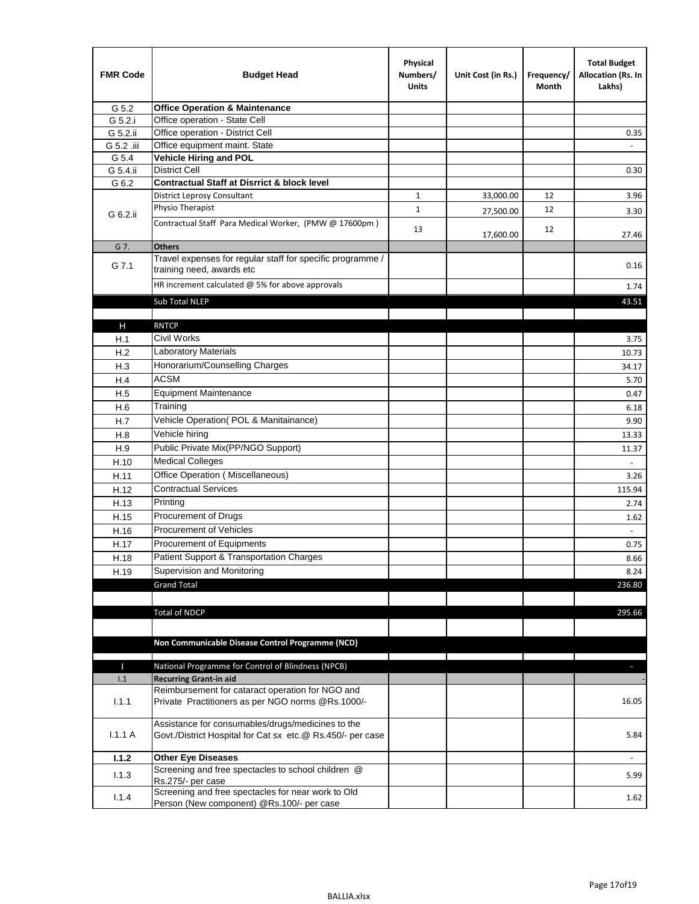| <b>FMR Code</b> | <b>Budget Head</b>                                                                                              | Physical<br>Numbers/<br><b>Units</b> | Unit Cost (in Rs.) | Frequency/<br>Month | <b>Total Budget</b><br>Allocation (Rs. In<br>Lakhs) |
|-----------------|-----------------------------------------------------------------------------------------------------------------|--------------------------------------|--------------------|---------------------|-----------------------------------------------------|
| G 5.2           | <b>Office Operation &amp; Maintenance</b>                                                                       |                                      |                    |                     |                                                     |
| G 5.2.i         | Office operation - State Cell                                                                                   |                                      |                    |                     |                                                     |
| G 5.2.ii        | Office operation - District Cell                                                                                |                                      |                    |                     | 0.35                                                |
| G 5.2 .iii      | Office equipment maint. State                                                                                   |                                      |                    |                     |                                                     |
| G 5.4           | <b>Vehicle Hiring and POL</b>                                                                                   |                                      |                    |                     |                                                     |
| G 5.4.ii        | <b>District Cell</b>                                                                                            |                                      |                    |                     | 0.30                                                |
| G 6.2           | <b>Contractual Staff at Disrrict &amp; block level</b>                                                          |                                      |                    |                     |                                                     |
|                 | <b>District Leprosy Consultant</b>                                                                              | $\mathbf{1}$                         | 33,000.00          | 12                  | 3.96                                                |
| G 6.2.ii        | Physio Therapist                                                                                                | $\mathbf{1}$                         | 27,500.00          | 12                  | 3.30                                                |
|                 | Contractual Staff Para Medical Worker, (PMW @ 17600pm)                                                          | 13                                   | 17,600.00          | 12                  | 27.46                                               |
| G 7.            | <b>Others</b>                                                                                                   |                                      |                    |                     |                                                     |
| G 7.1           | Travel expenses for regular staff for specific programme /<br>training need, awards etc                         |                                      |                    |                     | 0.16                                                |
|                 | HR increment calculated $@$ 5% for above approvals                                                              |                                      |                    |                     | 1.74                                                |
|                 | Sub Total NLEP                                                                                                  |                                      |                    |                     | 43.51                                               |
|                 |                                                                                                                 |                                      |                    |                     |                                                     |
| н               | <b>RNTCP</b>                                                                                                    |                                      |                    |                     |                                                     |
| H.1             | Civil Works                                                                                                     |                                      |                    |                     | 3.75                                                |
| H.2             | Laboratory Materials                                                                                            |                                      |                    |                     | 10.73                                               |
| H.3             | Honorarium/Counselling Charges                                                                                  |                                      |                    |                     | 34.17                                               |
| H.4             | <b>ACSM</b>                                                                                                     |                                      |                    |                     | 5.70                                                |
| H.5             | <b>Equipment Maintenance</b>                                                                                    |                                      |                    |                     | 0.47                                                |
| H.6             | Training                                                                                                        |                                      |                    |                     | 6.18                                                |
| H.7             | Vehicle Operation(POL & Manitainance)                                                                           |                                      |                    |                     | 9.90                                                |
| H.8             | Vehicle hiring                                                                                                  |                                      |                    |                     | 13.33                                               |
| H.9             | Public Private Mix(PP/NGO Support)                                                                              |                                      |                    |                     | 11.37                                               |
| H.10            | <b>Medical Colleges</b>                                                                                         |                                      |                    |                     |                                                     |
| H.11            | Office Operation (Miscellaneous)                                                                                |                                      |                    |                     | 3.26                                                |
| H.12            | <b>Contractual Services</b>                                                                                     |                                      |                    |                     | 115.94                                              |
| H.13            | Printing                                                                                                        |                                      |                    |                     | 2.74                                                |
| H.15            | Procurement of Drugs                                                                                            |                                      |                    |                     | 1.62                                                |
| H.16            | Procurement of Vehicles                                                                                         |                                      |                    |                     | $\omega$                                            |
| H.17            | Procurement of Equipments                                                                                       |                                      |                    |                     | 0.75                                                |
| H.18            | Patient Support & Transportation Charges                                                                        |                                      |                    |                     | 8.66                                                |
| H.19            | Supervision and Monitoring                                                                                      |                                      |                    |                     | 8.24                                                |
|                 | <b>Grand Total</b>                                                                                              |                                      |                    |                     | 236.80                                              |
|                 |                                                                                                                 |                                      |                    |                     |                                                     |
|                 | <b>Total of NDCP</b>                                                                                            |                                      |                    |                     | 295.66                                              |
|                 |                                                                                                                 |                                      |                    |                     |                                                     |
|                 |                                                                                                                 |                                      |                    |                     |                                                     |
|                 | Non Communicable Disease Control Programme (NCD)                                                                |                                      |                    |                     |                                                     |
| П               | National Programme for Control of Blindness (NPCB)                                                              |                                      |                    |                     | $\overline{\phantom{a}}$                            |
| 1.1             | <b>Recurring Grant-in aid</b>                                                                                   |                                      |                    |                     |                                                     |
|                 | Reimbursement for cataract operation for NGO and                                                                |                                      |                    |                     |                                                     |
| 1.1.1           | Private Practitioners as per NGO norms @Rs.1000/-                                                               |                                      |                    |                     | 16.05                                               |
| 1.1.1A          | Assistance for consumables/drugs/medicines to the<br>Govt./District Hospital for Cat sx etc.@ Rs.450/- per case |                                      |                    |                     | 5.84                                                |
| 1.1.2           | <b>Other Eye Diseases</b>                                                                                       |                                      |                    |                     |                                                     |
| 1.1.3           | Screening and free spectacles to school children @                                                              |                                      |                    |                     |                                                     |
|                 | Rs.275/- per case                                                                                               |                                      |                    |                     | 5.99                                                |
| 1.1.4           | Screening and free spectacles for near work to Old<br>Person (New component) @Rs.100/- per case                 |                                      |                    |                     | 1.62                                                |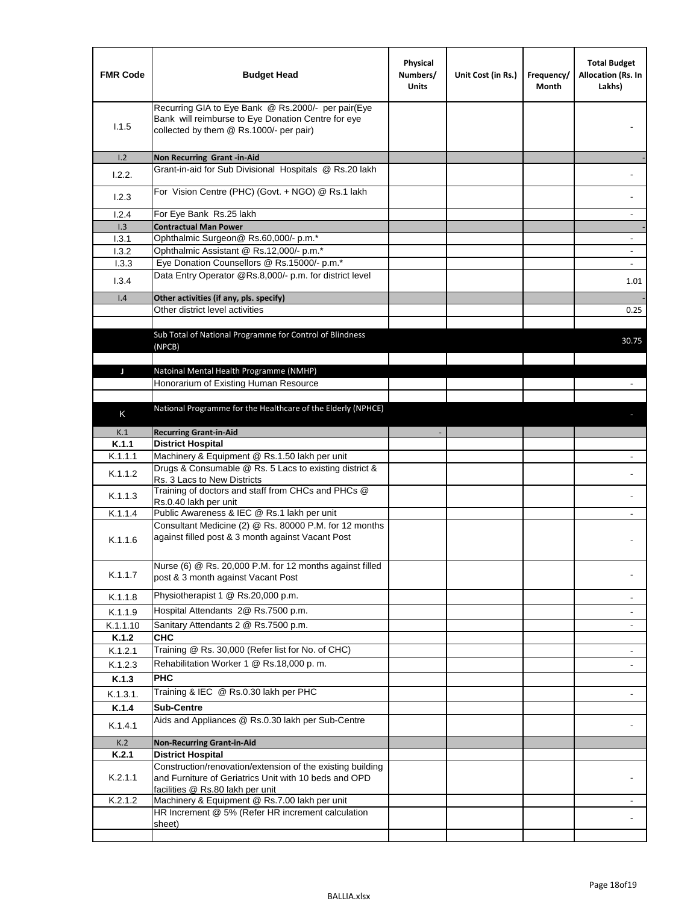| <b>FMR Code</b> | <b>Budget Head</b>                                                                                                                                      | Physical<br>Numbers/<br><b>Units</b> | Unit Cost (in Rs.) | Frequency/<br>Month | <b>Total Budget</b><br>Allocation (Rs. In<br>Lakhs) |
|-----------------|---------------------------------------------------------------------------------------------------------------------------------------------------------|--------------------------------------|--------------------|---------------------|-----------------------------------------------------|
| 1.1.5           | Recurring GIA to Eye Bank @ Rs.2000/- per pair(Eye<br>Bank will reimburse to Eye Donation Centre for eye<br>collected by them @ Rs.1000/- per pair)     |                                      |                    |                     |                                                     |
| 1.2             | Non Recurring Grant -in-Aid                                                                                                                             |                                      |                    |                     |                                                     |
| 1.2.2.          | Grant-in-aid for Sub Divisional Hospitals @ Rs.20 lakh                                                                                                  |                                      |                    |                     |                                                     |
| 1.2.3           | For Vision Centre (PHC) (Govt. + NGO) @ Rs.1 lakh                                                                                                       |                                      |                    |                     |                                                     |
| 1.2.4           | For Eye Bank Rs.25 lakh                                                                                                                                 |                                      |                    |                     | ÷.                                                  |
| 1.3             | <b>Contractual Man Power</b>                                                                                                                            |                                      |                    |                     |                                                     |
| 1.3.1           | Ophthalmic Surgeon@ Rs.60,000/- p.m.*                                                                                                                   |                                      |                    |                     | $\overline{\phantom{a}}$                            |
| 1.3.2           | Ophthalmic Assistant @ Rs.12,000/- p.m.*                                                                                                                |                                      |                    |                     |                                                     |
| 1.3.3           | Eye Donation Counsellors @ Rs.15000/- p.m.*                                                                                                             |                                      |                    |                     | $\overline{\phantom{a}}$                            |
| 1.3.4           | Data Entry Operator @Rs.8,000/- p.m. for district level                                                                                                 |                                      |                    |                     | 1.01                                                |
| 1.4             | Other activities (if any, pls. specify)                                                                                                                 |                                      |                    |                     |                                                     |
|                 | Other district level activities                                                                                                                         |                                      |                    |                     | 0.25                                                |
|                 | Sub Total of National Programme for Control of Blindness<br>(NPCB)                                                                                      |                                      |                    |                     | 30.75                                               |
|                 | Natoinal Mental Health Programme (NMHP)                                                                                                                 |                                      |                    |                     |                                                     |
| J               | Honorarium of Existing Human Resource                                                                                                                   |                                      |                    |                     |                                                     |
|                 |                                                                                                                                                         |                                      |                    |                     |                                                     |
|                 | National Programme for the Healthcare of the Elderly (NPHCE)                                                                                            |                                      |                    |                     |                                                     |
| K               |                                                                                                                                                         |                                      |                    |                     |                                                     |
| K.1             | <b>Recurring Grant-in-Aid</b>                                                                                                                           |                                      |                    |                     |                                                     |
| K.1.1           | <b>District Hospital</b>                                                                                                                                |                                      |                    |                     |                                                     |
| K.1.1.1         | Machinery & Equipment @ Rs.1.50 lakh per unit                                                                                                           |                                      |                    |                     |                                                     |
| K.1.1.2         | Drugs & Consumable @ Rs. 5 Lacs to existing district &<br>Rs. 3 Lacs to New Districts                                                                   |                                      |                    |                     |                                                     |
| K.1.1.3         | Training of doctors and staff from CHCs and PHCs @<br>Rs.0.40 lakh per unit                                                                             |                                      |                    |                     |                                                     |
| K.1.1.4         | Public Awareness & IEC @ Rs.1 lakh per unit                                                                                                             |                                      |                    |                     |                                                     |
| K.1.1.6         | Consultant Medicine (2) @ Rs. 80000 P.M. for 12 months<br>against filled post & 3 month against Vacant Post                                             |                                      |                    |                     |                                                     |
| K.1.1.7         | Nurse (6) @ Rs. 20,000 P.M. for 12 months against filled<br>post & 3 month against Vacant Post                                                          |                                      |                    |                     |                                                     |
| K.1.1.8         | Physiotherapist 1 @ Rs.20,000 p.m.                                                                                                                      |                                      |                    |                     |                                                     |
| K.1.1.9         | Hospital Attendants 2@ Rs.7500 p.m.                                                                                                                     |                                      |                    |                     |                                                     |
| K.1.1.10        | Sanitary Attendants 2 @ Rs.7500 p.m.                                                                                                                    |                                      |                    |                     | $\overline{\phantom{a}}$                            |
| K.1.2           | <b>CHC</b>                                                                                                                                              |                                      |                    |                     |                                                     |
| K.1.2.1         | Training @ Rs. 30,000 (Refer list for No. of CHC)                                                                                                       |                                      |                    |                     |                                                     |
| K.1.2.3         | Rehabilitation Worker 1 @ Rs.18,000 p. m.                                                                                                               |                                      |                    |                     |                                                     |
| K.1.3           | <b>PHC</b>                                                                                                                                              |                                      |                    |                     |                                                     |
| K.1.3.1.        | Training & IEC @ Rs.0.30 lakh per PHC                                                                                                                   |                                      |                    |                     |                                                     |
| K.1.4           | <b>Sub-Centre</b>                                                                                                                                       |                                      |                    |                     |                                                     |
|                 | Aids and Appliances @ Rs.0.30 lakh per Sub-Centre                                                                                                       |                                      |                    |                     |                                                     |
| K.1.4.1         |                                                                                                                                                         |                                      |                    |                     |                                                     |
| K.2             | <b>Non-Recurring Grant-in-Aid</b>                                                                                                                       |                                      |                    |                     |                                                     |
| K.2.1           | <b>District Hospital</b>                                                                                                                                |                                      |                    |                     |                                                     |
| K.2.1.1         | Construction/renovation/extension of the existing building<br>and Furniture of Geriatrics Unit with 10 beds and OPD<br>facilities @ Rs.80 lakh per unit |                                      |                    |                     |                                                     |
| K.2.1.2         | Machinery & Equipment @ Rs.7.00 lakh per unit                                                                                                           |                                      |                    |                     |                                                     |
|                 | HR Increment @ 5% (Refer HR increment calculation                                                                                                       |                                      |                    |                     |                                                     |
|                 | sheet)                                                                                                                                                  |                                      |                    |                     |                                                     |
|                 |                                                                                                                                                         |                                      |                    |                     |                                                     |